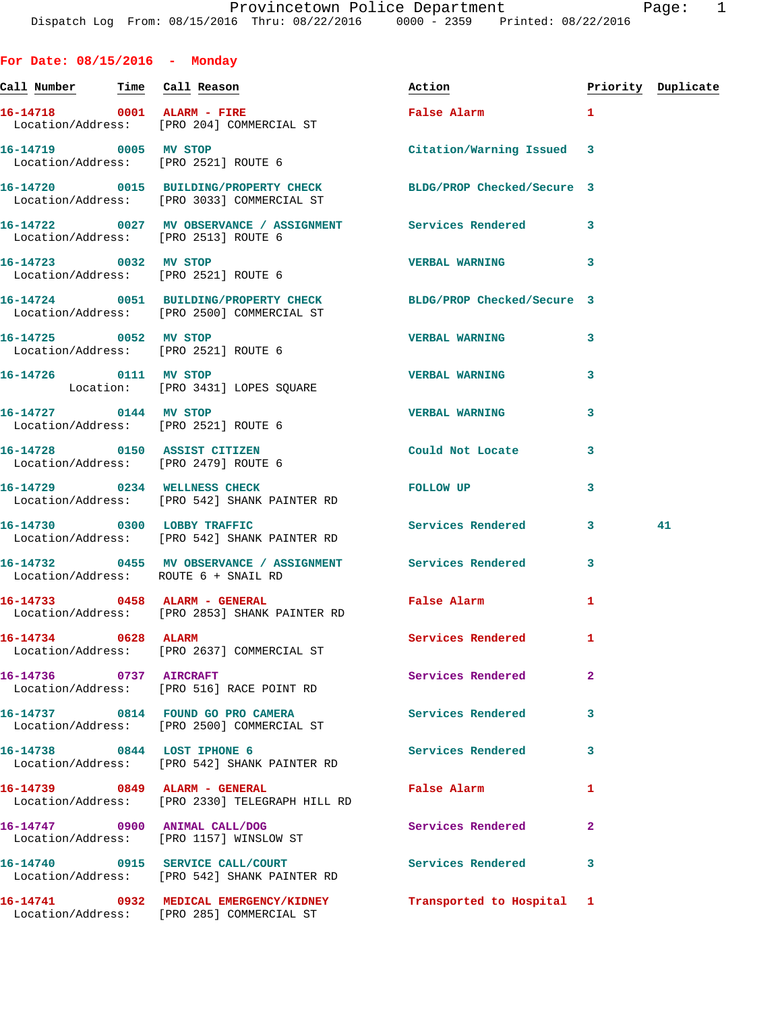**For Date: 08/15/2016 - Monday**

**Call Number Time Call Reason Action Priority Duplicate 16-14718 0001 ALARM - FIRE False Alarm 1**  Location/Address: [PRO 204] COMMERCIAL ST **16-14719 0005 MV STOP Citation/Warning Issued 3**  Location/Address: [PRO 2521] ROUTE 6 **16-14720 0015 BUILDING/PROPERTY CHECK BLDG/PROP Checked/Secure 3**  Location/Address: [PRO 3033] COMMERCIAL ST **16-14722 0027 MV OBSERVANCE / ASSIGNMENT Services Rendered 3**  Location/Address: [PRO 2513] ROUTE 6 **16-14723 0032 MV STOP VERBAL WARNING 3**  Location/Address: [PRO 2521] ROUTE 6 **16-14724 0051 BUILDING/PROPERTY CHECK BLDG/PROP Checked/Secure 3**  Location/Address: [PRO 2500] COMMERCIAL ST **16-14725 0052 MV STOP VERBAL WARNING 3**  Location/Address: [PRO 2521] ROUTE 6 **16-14726 0111 MV STOP VERBAL WARNING 3**  Location: [PRO 3431] LOPES SQUARE **16-14727 0144 MV STOP VERBAL WARNING 3**  Location/Address: [PRO 2521] ROUTE 6 **16-14728 0150 ASSIST CITIZEN Could Not Locate 3**  Location/Address: [PRO 2479] ROUTE 6 **16-14729 0234 WELLNESS CHECK FOLLOW UP 3**  Location/Address: [PRO 542] SHANK PAINTER RD **16-14730 0300 LOBBY TRAFFIC Services Rendered 3 41**  Location/Address: [PRO 542] SHANK PAINTER RD **16-14732 0455 MV OBSERVANCE / ASSIGNMENT Services Rendered 3**  Location/Address: ROUTE 6 + SNAIL RD **16-14733 0458 ALARM - GENERAL False Alarm 1**  Location/Address: [PRO 2853] SHANK PAINTER RD **16-14734 0628 ALARM Services Rendered 1**  Location/Address: [PRO 2637] COMMERCIAL ST **16-14736 0737 AIRCRAFT Services Rendered 2**  Location/Address: [PRO 516] RACE POINT RD **16-14737 0814 FOUND GO PRO CAMERA Services Rendered 3**  Location/Address: [PRO 2500] COMMERCIAL ST **16-14738 0844 LOST IPHONE 6 Services Rendered 3**  Location/Address: [PRO 542] SHANK PAINTER RD **16-14739 0849 ALARM - GENERAL False Alarm 1**  Location/Address: [PRO 2330] TELEGRAPH HILL RD **16-14747 0900 ANIMAL CALL/DOG Services Rendered 2**  Location/Address: [PRO 1157] WINSLOW ST **16-14740 0915 SERVICE CALL/COURT Services Rendered 3**  Location/Address: [PRO 542] SHANK PAINTER RD **16-14741 0932 MEDICAL EMERGENCY/KIDNEY Transported to Hospital 1**  Location/Address: [PRO 285] COMMERCIAL ST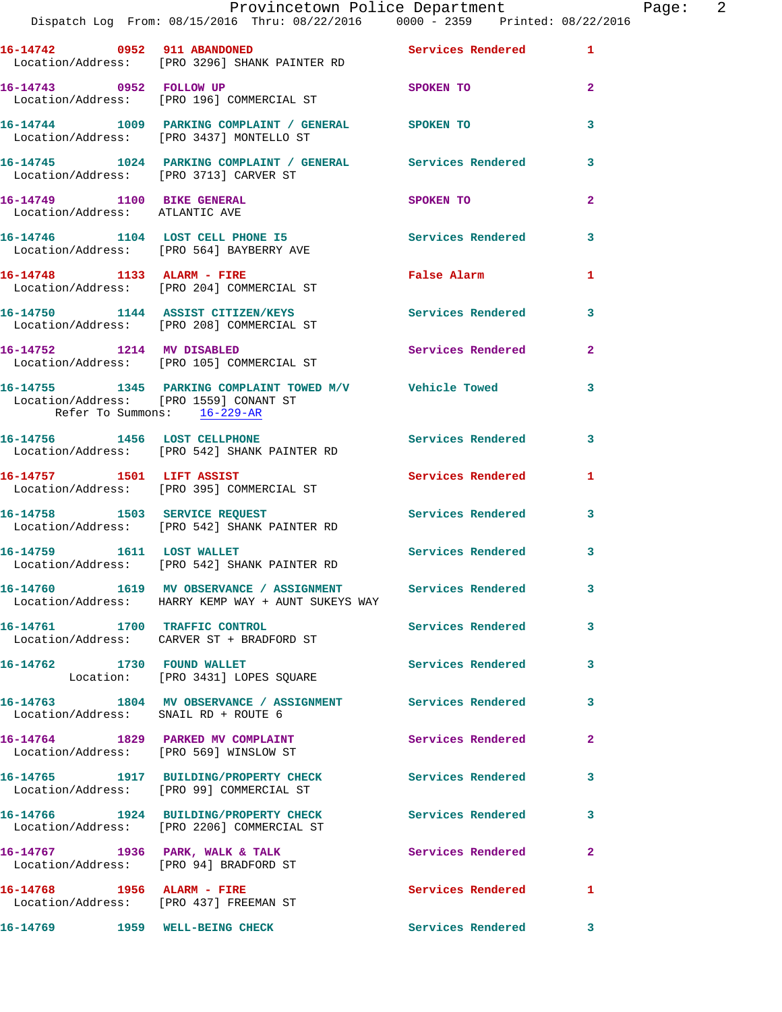|                                                                       | Provincetown Police Department<br>Dispatch Log From: 08/15/2016 Thru: 08/22/2016                0000 - 2359    Printed: 08/22/2016 |                     |                | Page: 2 |  |
|-----------------------------------------------------------------------|------------------------------------------------------------------------------------------------------------------------------------|---------------------|----------------|---------|--|
|                                                                       |                                                                                                                                    |                     |                |         |  |
|                                                                       | 16-14742   0952   911   ABANDONED   Services Rendered   1<br>Location/Address: [PRO 3296] SHANK PAINTER RD                         |                     |                |         |  |
|                                                                       | 16-14743 0952 FOLLOW UP SPOKEN TO<br>Location/Address: [PRO 196] COMMERCIAL ST                                                     |                     | $\overline{2}$ |         |  |
|                                                                       | 16-14744 1009 PARKING COMPLAINT / GENERAL SPOKEN TO<br>Location/Address: [PRO 3437] MONTELLO ST                                    |                     | 3              |         |  |
| Location/Address: [PRO 3713] CARVER ST                                | 16-14745 1024 PARKING COMPLAINT / GENERAL Services Rendered 3                                                                      |                     |                |         |  |
| Location/Address: ATLANTIC AVE                                        | 16-14749 1100 BIKE GENERAL                                                                                                         | SPOKEN TO           | $\mathbf{2}$   |         |  |
|                                                                       | 16-14746 1104 LOST CELL PHONE 15 Services Rendered 3<br>Location/Address: [PRO 564] BAYBERRY AVE                                   |                     |                |         |  |
|                                                                       | 16-14748 1133 ALARM - FIRE<br>Location/Address: [PRO 204] COMMERCIAL ST                                                            | False Alarm 1       |                |         |  |
|                                                                       | 16-14750 1144 ASSIST CITIZEN/KEYS Services Rendered 3<br>Location/Address: [PRO 208] COMMERCIAL ST                                 |                     |                |         |  |
|                                                                       | 16-14752 1214 MV DISABLED<br>Location/Address: [PRO 105] COMMERCIAL ST                                                             | Services Rendered 2 |                |         |  |
| Location/Address: [PRO 1559] CONANT ST<br>Refer To Summons: 16-229-AR | 16-14755 1345 PARKING COMPLAINT TOWED M/V Vehicle Towed 3                                                                          |                     |                |         |  |
|                                                                       | 16-14756 1456 LOST CELLPHONE 11 Services Rendered 3<br>Location/Address: [PRO 542] SHANK PAINTER RD                                |                     |                |         |  |
|                                                                       | 16-14757 1501 LIFT ASSIST<br>Location/Address: [PRO 395] COMMERCIAL ST                                                             | Services Rendered 1 |                |         |  |
|                                                                       | 16-14758 1503 SERVICE REQUEST 1999 Services Rendered 3<br>Location/Address: [PRO 542] SHANK PAINTER RD                             |                     |                |         |  |
|                                                                       | 16-14759 1611 LOST WALLET<br>Location/Address: [PRO 542] SHANK PAINTER RD                                                          | Services Rendered 3 |                |         |  |
|                                                                       | 16-14760 1619 MV OBSERVANCE / ASSIGNMENT Services Rendered 3<br>Location/Address: HARRY KEMP WAY + AUNT SUKEYS WAY                 |                     |                |         |  |
|                                                                       | 16-14761 1700 TRAFFIC CONTROL<br>Location/Address: CARVER ST + BRADFORD ST                                                         | Services Rendered   | $\mathbf{3}$   |         |  |
|                                                                       | 16-14762 1730 FOUND WALLET<br>Location: [PRO 3431] LOPES SQUARE                                                                    | Services Rendered 3 |                |         |  |
| Location/Address: SNAIL RD + ROUTE 6                                  | 16-14763 1804 MV OBSERVANCE / ASSIGNMENT Services Rendered                                                                         |                     | 3              |         |  |
|                                                                       | 16-14764 1829 PARKED MV COMPLAINT Services Rendered<br>Location/Address: [PRO 569] WINSLOW ST                                      |                     | $\mathbf{2}$   |         |  |
|                                                                       | 16-14765 1917 BUILDING/PROPERTY CHECK Services Rendered<br>Location/Address: [PRO 99] COMMERCIAL ST                                |                     | 3              |         |  |
|                                                                       | 16-14766 1924 BUILDING/PROPERTY CHECK Services Rendered<br>Location/Address: [PRO 2206] COMMERCIAL ST                              |                     | 3              |         |  |
|                                                                       | 16-14767 1936 PARK, WALK & TALK<br>Location/Address: [PRO 94] BRADFORD ST                                                          | Services Rendered   | $\mathbf{2}$   |         |  |
| 16-14768 1956 ALARM - FIRE<br>Location/Address: [PRO 437] FREEMAN ST  |                                                                                                                                    | Services Rendered   | 1              |         |  |
| 16-14769 1959 WELL-BEING CHECK                                        |                                                                                                                                    | Services Rendered 3 |                |         |  |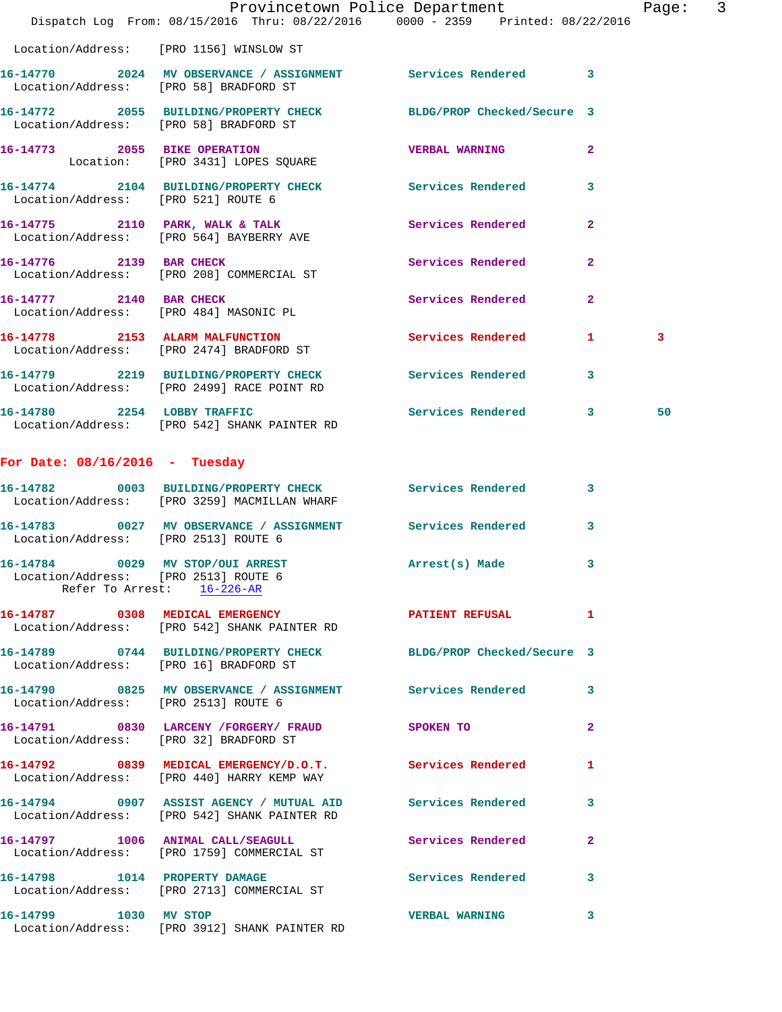|                                                                          | Dispatch Log From: 08/15/2016 Thru: 08/22/2016 0000 - 2359 Printed: 08/22/2016                             | Provincetown Police Department |                | Page: 3 |  |
|--------------------------------------------------------------------------|------------------------------------------------------------------------------------------------------------|--------------------------------|----------------|---------|--|
|                                                                          | Location/Address: [PRO 1156] WINSLOW ST                                                                    |                                |                |         |  |
| Location/Address: [PRO 58] BRADFORD ST                                   | 16-14770 2024 MV OBSERVANCE / ASSIGNMENT Services Rendered 3                                               |                                |                |         |  |
|                                                                          | 16-14772 2055 BUILDING/PROPERTY CHECK BLDG/PROP Checked/Secure 3<br>Location/Address: [PRO 58] BRADFORD ST |                                |                |         |  |
|                                                                          | 16-14773 2055 BIKE OPERATION<br>Location: [PRO 3431] LOPES SQUARE                                          | <b>VERBAL WARNING</b>          | $\mathbf{2}$   |         |  |
|                                                                          | 16-14774 2104 BUILDING/PROPERTY CHECK Services Rendered 3<br>Location/Address: [PRO 521] ROUTE 6           |                                |                |         |  |
|                                                                          | 16-14775 2110 PARK, WALK & TALK<br>Location/Address: [PRO 564] BAYBERRY AVE                                | Services Rendered              | $\mathbf{2}$   |         |  |
|                                                                          | 16-14776 2139 BAR CHECK<br>Location/Address: [PRO 208] COMMERCIAL ST                                       | Services Rendered              | $\overline{2}$ |         |  |
|                                                                          | 16-14777 2140 BAR CHECK<br>Location/Address: [PRO 484] MASONIC PL                                          | Services Rendered 2            |                |         |  |
|                                                                          | 16-14778 2153 ALARM MALFUNCTION<br>Location/Address: [PRO 2474] BRADFORD ST                                | Services Rendered 1            |                | 3       |  |
|                                                                          | 16-14779 2219 BUILDING/PROPERTY CHECK Services Rendered 3<br>Location/Address: [PRO 2499] RACE POINT RD    |                                |                |         |  |
|                                                                          | 16-14780 2254 LOBBY TRAFFIC<br>Location/Address: [PRO 542] SHANK PAINTER RD                                | Services Rendered 3            |                | 50      |  |
| For Date: $08/16/2016$ - Tuesday                                         |                                                                                                            |                                |                |         |  |
|                                                                          | 16-14782 0003 BUILDING/PROPERTY CHECK Services Rendered 3                                                  |                                |                |         |  |
|                                                                          | Location/Address: [PRO 3259] MACMILLAN WHARF                                                               |                                |                |         |  |
| Location/Address: [PRO 2513] ROUTE 6                                     | 16-14783 0027 MV OBSERVANCE / ASSIGNMENT Services Rendered 3                                               |                                |                |         |  |
| 16-14784 0029 MV STOP/OUI ARREST<br>Location/Address: [PRO 2513] ROUTE 6 | Refer To Arrest: 16-226-AR                                                                                 | Arrest(s) Made                 | 3              |         |  |
|                                                                          | 16-14787 0308 MEDICAL EMERGENCY<br>Location/Address: [PRO 542] SHANK PAINTER RD                            | PATIENT REFUSAL                | $\mathbf{1}$   |         |  |
| Location/Address: [PRO 16] BRADFORD ST                                   | 16-14789 0744 BUILDING/PROPERTY CHECK BLDG/PROP Checked/Secure 3                                           |                                |                |         |  |
| Location/Address: [PRO 2513] ROUTE 6                                     | 16-14790 0825 MV OBSERVANCE / ASSIGNMENT Services Rendered 3                                               |                                |                |         |  |
|                                                                          | 16-14791 0830 LARCENY / FORGERY / FRAUD SPOKEN TO<br>Location/Address: [PRO 32] BRADFORD ST                |                                | $\mathbf{2}$   |         |  |
|                                                                          | 16-14792 0839 MEDICAL EMERGENCY/D.O.T. Services Rendered<br>Location/Address: [PRO 440] HARRY KEMP WAY     |                                | $\mathbf{1}$   |         |  |
|                                                                          | 16-14794 0907 ASSIST AGENCY / MUTUAL AID Services Rendered<br>Location/Address: [PRO 542] SHANK PAINTER RD |                                | 3              |         |  |
|                                                                          | 16-14797 1006 ANIMAL CALL/SEAGULL<br>Location/Address: [PRO 1759] COMMERCIAL ST                            | Services Rendered              | $\mathbf{2}$   |         |  |
|                                                                          | 16-14798 1014 PROPERTY DAMAGE<br>Location/Address: [PRO 2713] COMMERCIAL ST                                | Services Rendered              | $\mathbf{3}$   |         |  |
| 16-14799 1030 MV STOP                                                    |                                                                                                            | <b>VERBAL WARNING</b>          | - 3            |         |  |

Location/Address: [PRO 3912] SHANK PAINTER RD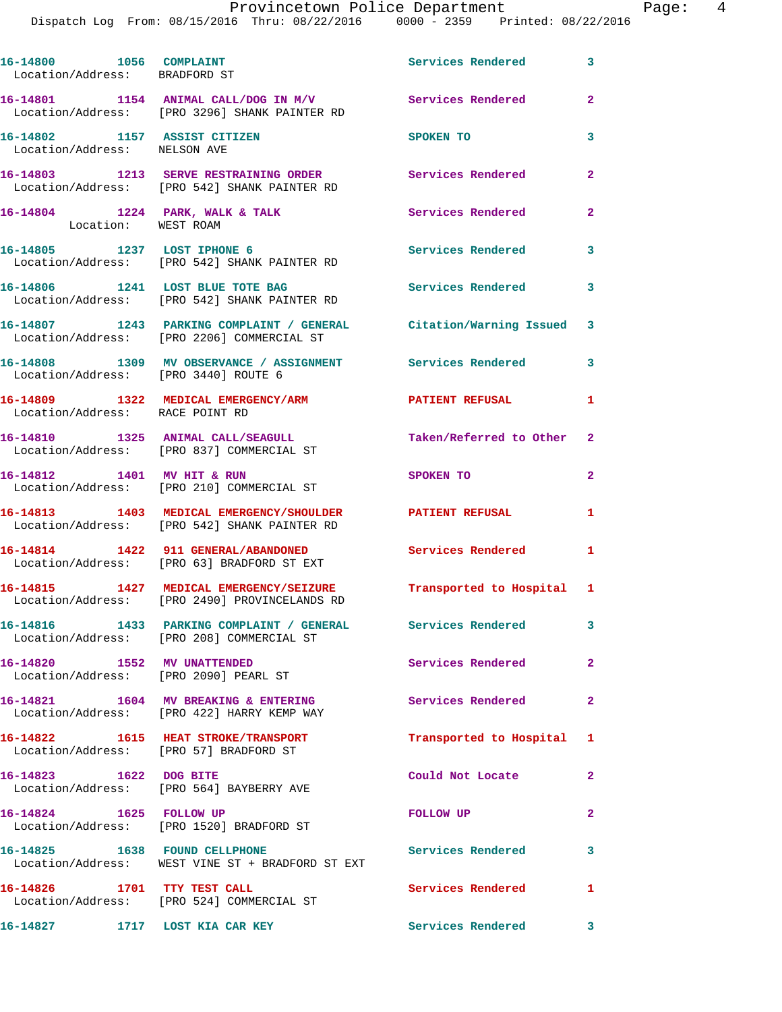|                                                              | Dispatch Log From: 08/15/2016 Thru: 08/22/2016 0000 - 2359 Printed: 08/22/2016                                     |                          |                |
|--------------------------------------------------------------|--------------------------------------------------------------------------------------------------------------------|--------------------------|----------------|
| 16-14800 1056 COMPLAINT<br>Location/Address: BRADFORD ST     |                                                                                                                    | Services Rendered        | 3              |
|                                                              | 16-14801 1154 ANIMAL CALL/DOG IN M/V Services Rendered<br>Location/Address: [PRO 3296] SHANK PAINTER RD            |                          | $\mathbf{2}$   |
| 16-14802 1157 ASSIST CITIZEN<br>Location/Address: NELSON AVE |                                                                                                                    | SPOKEN TO                | 3              |
|                                                              | 16-14803 1213 SERVE RESTRAINING ORDER Services Rendered<br>Location/Address: [PRO 542] SHANK PAINTER RD            |                          | 2              |
| Location: WEST ROAM                                          | 16-14804 1224 PARK, WALK & TALK                                                                                    | Services Rendered        | $\overline{2}$ |
|                                                              | 16-14805 1237 LOST IPHONE 6<br>Location/Address: [PRO 542] SHANK PAINTER RD                                        | <b>Services Rendered</b> | 3              |
|                                                              | 16-14806 1241 LOST BLUE TOTE BAG<br>Location/Address: [PRO 542] SHANK PAINTER RD                                   | Services Rendered        | $\mathbf{3}$   |
|                                                              | 16-14807 1243 PARKING COMPLAINT / GENERAL Citation/Warning Issued<br>Location/Address: [PRO 2206] COMMERCIAL ST    |                          | 3              |
| Location/Address: [PRO 3440] ROUTE 6                         | 16-14808 1309 MV OBSERVANCE / ASSIGNMENT Services Rendered                                                         |                          | 3              |
| Location/Address: RACE POINT RD                              | 16-14809 1322 MEDICAL EMERGENCY/ARM PATIENT REFUSAL                                                                |                          | 1              |
|                                                              | 16-14810 1325 ANIMAL CALL/SEAGULL<br>Location/Address: [PRO 837] COMMERCIAL ST                                     | Taken/Referred to Other  | $\mathbf{2}$   |
|                                                              | 16-14812 1401 MV HIT & RUN<br>Location/Address: [PRO 210] COMMERCIAL ST                                            | SPOKEN TO                | $\mathbf{2}$   |
|                                                              | 16-14813 1403 MEDICAL EMERGENCY/SHOULDER PATIENT REFUSAL<br>Location/Address: [PRO 542] SHANK PAINTER RD           |                          | 1              |
|                                                              | 16-14814    1422 911 GENERAL/ABANDONED<br>Location/Address: [PRO 63] BRADFORD ST EXT                               | Services Rendered        | 1              |
|                                                              | 16-14815 1427 MEDICAL EMERGENCY/SEIZURE Transported to Hospital 1<br>Location/Address: [PRO 2490] PROVINCELANDS RD |                          |                |
|                                                              | 16-14816 1433 PARKING COMPLAINT / GENERAL Services Rendered<br>Location/Address: [PRO 208] COMMERCIAL ST           |                          | 3              |
| 16-14820 1552 MV UNATTENDED                                  | Location/Address: [PRO 2090] PEARL ST                                                                              | Services Rendered        | $\overline{a}$ |
|                                                              | 16-14821 1604 MV BREAKING & ENTERING<br>Location/Address: [PRO 422] HARRY KEMP WAY                                 | Services Rendered        | $\mathbf{2}$   |
|                                                              | 16-14822 1615 HEAT STROKE/TRANSPORT<br>Location/Address: [PRO 57] BRADFORD ST                                      | Transported to Hospital  | 1              |
| 16-14823 1622 DOG BITE                                       | Location/Address: [PRO 564] BAYBERRY AVE                                                                           | Could Not Locate         | 2              |
| 16-14824 1625 FOLLOW UP                                      | Location/Address: [PRO 1520] BRADFORD ST                                                                           | FOLLOW UP                | 2              |
|                                                              | 16-14825 1638 FOUND CELLPHONE<br>Location/Address: WEST VINE ST + BRADFORD ST EXT                                  | <b>Services Rendered</b> | 3              |
| 16-14826 1701 TTY TEST CALL                                  | Location/Address: [PRO 524] COMMERCIAL ST                                                                          | Services Rendered        | 1              |

16-14827 **1717** LOST KIA CAR KEY **16-14827** Services Rendered 3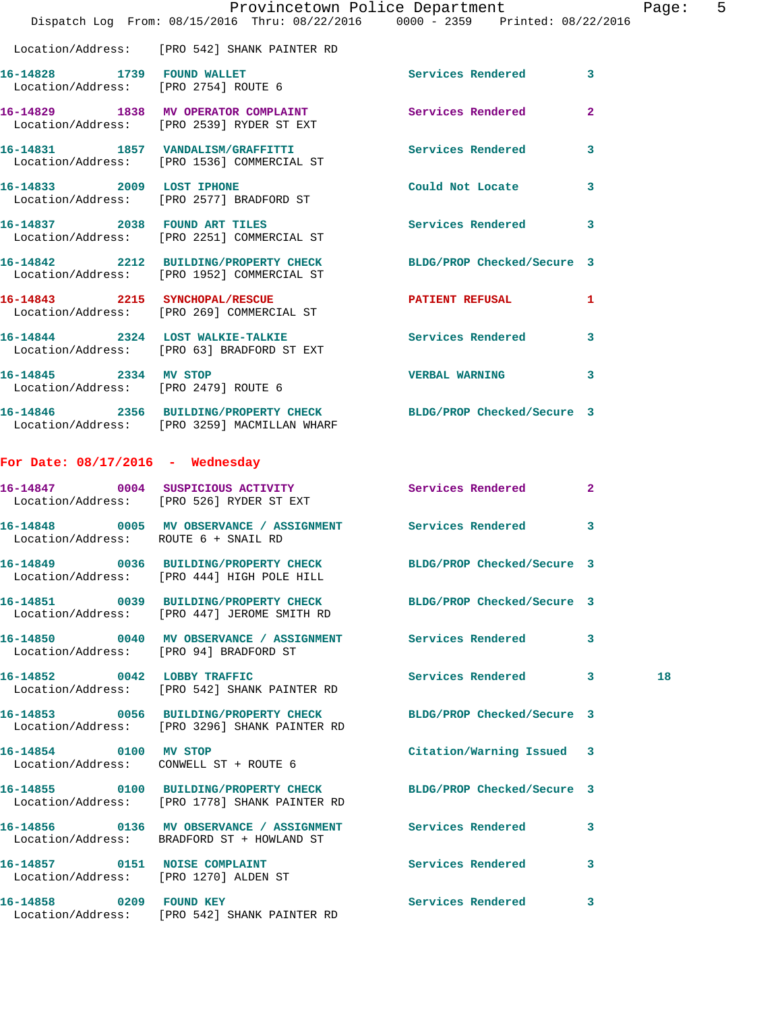|                                        | Dispatch Log From: 08/15/2016 Thru: 08/22/2016 0000 - 2359 Printed: 08/22/2016                                    | Provincetown Police Department | Page: | 5 |
|----------------------------------------|-------------------------------------------------------------------------------------------------------------------|--------------------------------|-------|---|
|                                        | Location/Address: [PRO 542] SHANK PAINTER RD                                                                      |                                |       |   |
|                                        | 16-14828 1739 FOUND WALLET<br>Location/Address: [PRO 2754] ROUTE 6                                                | Services Rendered 3            |       |   |
|                                        | 16-14829 1838 MV OPERATOR COMPLAINT Services Rendered 2<br>Location/Address: [PRO 2539] RYDER ST EXT              |                                |       |   |
|                                        | 16-14831 1857 VANDALISM/GRAFFITTI Services Rendered 3<br>Location/Address: [PRO 1536] COMMERCIAL ST               |                                |       |   |
|                                        | 16-14833 2009 LOST IPHONE<br>Location/Address: [PRO 2577] BRADFORD ST                                             | Could Not Locate 3             |       |   |
|                                        | 16-14837 2038 FOUND ART TILES<br>Location/Address: [PRO 2251] COMMERCIAL ST                                       | Services Rendered 3            |       |   |
|                                        | 16-14842 2212 BUILDING/PROPERTY CHECK BLDG/PROP Checked/Secure 3<br>Location/Address: [PRO 1952] COMMERCIAL ST    |                                |       |   |
|                                        | 16-14843 2215 SYNCHOPAL/RESCUE<br>Location/Address: [PRO 269] COMMERCIAL ST                                       | PATIENT REFUSAL 1              |       |   |
|                                        | 16-14844 2324 LOST WALKIE-TALKIE Services Rendered 3<br>Location/Address: [PRO 63] BRADFORD ST EXT                |                                |       |   |
| 16-14845 2334 MV STOP                  | Location/Address: [PRO 2479] ROUTE 6                                                                              | VERBAL WARNING 3               |       |   |
|                                        | 16-14846 2356 BUILDING/PROPERTY CHECK BLDG/PROP Checked/Secure 3<br>Location/Address: [PRO 3259] MACMILLAN WHARF  |                                |       |   |
| For Date: $08/17/2016$ - Wednesday     |                                                                                                                   |                                |       |   |
|                                        | 16-14847 0004 SUSPICIOUS ACTIVITY Services Rendered 2<br>Location/Address: [PRO 526] RYDER ST EXT                 |                                |       |   |
| Location/Address: ROUTE 6 + SNAIL RD   | 16-14848 0005 MV OBSERVANCE / ASSIGNMENT Services Rendered 3                                                      |                                |       |   |
|                                        | 16-14849 0036 BUILDING/PROPERTY CHECK BLDG/PROP Checked/Secure 3<br>Location/Address: [PRO 444] HIGH POLE HILL    |                                |       |   |
|                                        | 16-14851 0039 BUILDING/PROPERTY CHECK BLDG/PROP Checked/Secure 3<br>Location/Address: [PRO 447] JEROME SMITH RD   |                                |       |   |
| Location/Address: [PRO 94] BRADFORD ST | 16-14850 0040 MV OBSERVANCE / ASSIGNMENT Services Rendered 3                                                      |                                |       |   |
|                                        | 16-14852 0042 LOBBY TRAFFIC<br>Location/Address: [PRO 542] SHANK PAINTER RD                                       | Services Rendered 3            | 18    |   |
|                                        | 16-14853 0056 BUILDING/PROPERTY CHECK BLDG/PROP Checked/Secure 3<br>Location/Address: [PRO 3296] SHANK PAINTER RD |                                |       |   |
| 16-14854 0100 MV STOP                  | Location/Address: CONWELL ST + ROUTE 6                                                                            | Citation/Warning Issued 3      |       |   |
|                                        | 16-14855 0100 BUILDING/PROPERTY CHECK BLDG/PROP Checked/Secure 3<br>Location/Address: [PRO 1778] SHANK PAINTER RD |                                |       |   |
|                                        | 16-14856 0136 MV OBSERVANCE / ASSIGNMENT Services Rendered 3<br>Location/Address: BRADFORD ST + HOWLAND ST        |                                |       |   |
| Location/Address: [PRO 1270] ALDEN ST  | 16-14857 0151 NOISE COMPLAINT                                                                                     | Services Rendered 3            |       |   |
| 16-14858 0209 FOUND KEY                |                                                                                                                   | Services Rendered 3            |       |   |

Location/Address: [PRO 542] SHANK PAINTER RD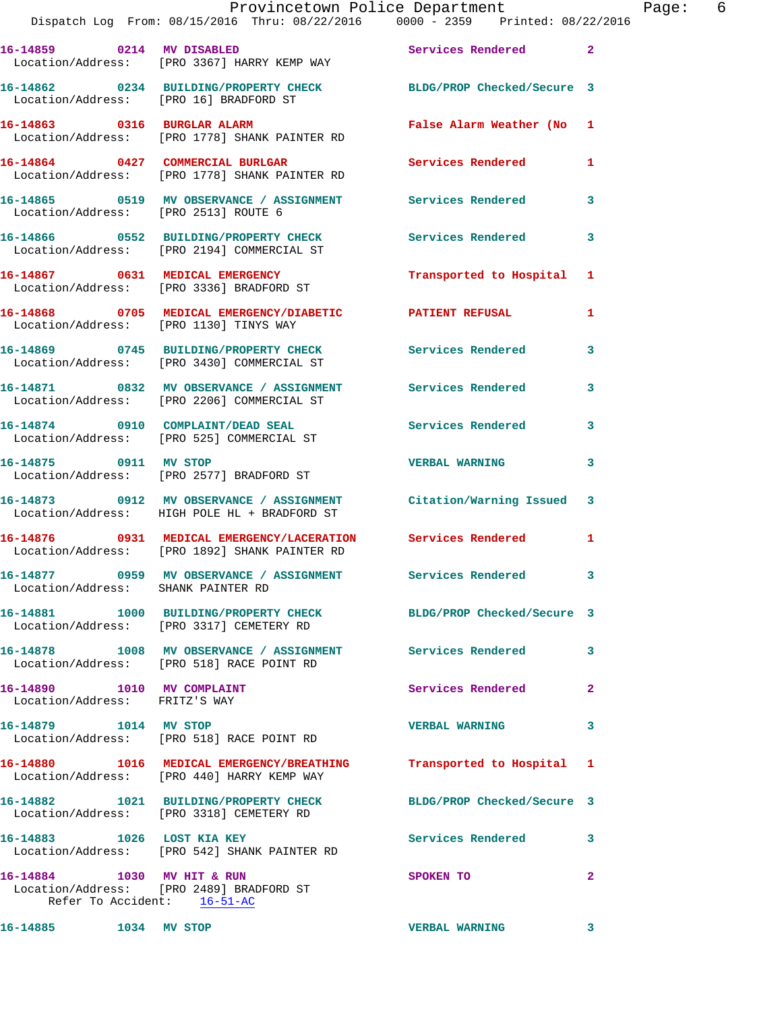|                                                             | Provincetown Police Department The Page: 6<br>Dispatch Log From: 08/15/2016 Thru: 08/22/2016 0000 - 2359 Printed: 08/22/2016 |                           |              |  |
|-------------------------------------------------------------|------------------------------------------------------------------------------------------------------------------------------|---------------------------|--------------|--|
|                                                             | 16-14859 0214 MV DISABLED Services Rendered 2<br>Location/Address: [PRO 3367] HARRY KEMP WAY                                 |                           |              |  |
|                                                             | 16-14862 0234 BUILDING/PROPERTY CHECK BLDG/PROP Checked/Secure 3<br>Location/Address: [PRO 16] BRADFORD ST                   |                           |              |  |
|                                                             | 16-14863 0316 BURGLAR ALARM<br>Location/Address: [PRO 1778] SHANK PAINTER RD                                                 | False Alarm Weather (No 1 |              |  |
|                                                             | 16-14864 0427 COMMERCIAL BURLGAR Services Rendered 1<br>Location/Address: [PRO 1778] SHANK PAINTER RD                        |                           |              |  |
|                                                             | 16-14865   0519   MV   OBSERVANCE / ASSIGNMENT   Services Rendered   3<br>Location/Address: [PRO 2513] ROUTE 6               |                           |              |  |
|                                                             | 16-14866 0552 BUILDING/PROPERTY CHECK Services Rendered<br>Location/Address: [PRO 2194] COMMERCIAL ST                        |                           | 3            |  |
|                                                             | 16-14867 0631 MEDICAL EMERGENCY<br>Location/Address: [PRO 3336] BRADFORD ST                                                  | Transported to Hospital 1 |              |  |
|                                                             | 16-14868 0705 MEDICAL EMERGENCY/DIABETIC PATIENT REFUSAL<br>Location/Address: [PRO 1130] TINYS WAY                           |                           | $\mathbf{1}$ |  |
|                                                             | 16-14869 0745 BUILDING/PROPERTY CHECK Services Rendered 3<br>Location/Address: [PRO 3430] COMMERCIAL ST                      |                           |              |  |
|                                                             | 16-14871 0832 MV OBSERVANCE / ASSIGNMENT Services Rendered<br>Location/Address: [PRO 2206] COMMERCIAL ST                     |                           | 3            |  |
|                                                             | 16-14874 0910 COMPLAINT/DEAD SEAL Services Rendered 3<br>Location/Address: [PRO 525] COMMERCIAL ST                           |                           |              |  |
|                                                             | 16-14875 0911 MV STOP<br>Location/Address: [PRO 2577] BRADFORD ST                                                            | <b>VERBAL WARNING</b>     | 3            |  |
|                                                             | 16-14873 0912 MV OBSERVANCE / ASSIGNMENT Citation/Warning Issued 3<br>Location/Address: HIGH POLE HL + BRADFORD ST           |                           |              |  |
|                                                             | 16-14876 0931 MEDICAL EMERGENCY/LACERATION Services Rendered 1<br>Location/Address: [PRO 1892] SHANK PAINTER RD              |                           |              |  |
| Location/Address: SHANK PAINTER RD                          | 16-14877 0959 MV OBSERVANCE / ASSIGNMENT Services Rendered                                                                   |                           |              |  |
|                                                             | 16-14881 1000 BUILDING/PROPERTY CHECK BLDG/PROP Checked/Secure 3<br>Location/Address: [PRO 3317] CEMETERY RD                 |                           |              |  |
|                                                             | 16-14878 1008 MV OBSERVANCE / ASSIGNMENT Services Rendered 3<br>Location/Address: [PRO 518] RACE POINT RD                    |                           |              |  |
| 16-14890 1010 MV COMPLAINT<br>Location/Address: FRITZ'S WAY |                                                                                                                              | Services Rendered         | $\mathbf{2}$ |  |
| 16-14879 1014 MV STOP                                       | Location/Address: [PRO 518] RACE POINT RD                                                                                    | VERBAL WARNING 3          |              |  |
|                                                             | 16-14880 1016 MEDICAL EMERGENCY/BREATHING<br>Location/Address: [PRO 440] HARRY KEMP WAY                                      | Transported to Hospital 1 |              |  |
|                                                             | 16-14882 1021 BUILDING/PROPERTY CHECK BLDG/PROP Checked/Secure 3<br>Location/Address: [PRO 3318] CEMETERY RD                 |                           |              |  |
|                                                             | 16-14883 1026 LOST KIA KEY<br>Location/Address: [PRO 542] SHANK PAINTER RD                                                   | Services Rendered 3       |              |  |
| 16-14884 1030 MV HIT & RUN                                  | Location/Address: [PRO 2489] BRADFORD ST<br>Refer To Accident: <u>16-51-AC</u>                                               | SPOKEN TO                 | $\mathbf{2}$ |  |
| 16-14885 1034 MV STOP                                       |                                                                                                                              | <b>VERBAL WARNING</b>     | 3            |  |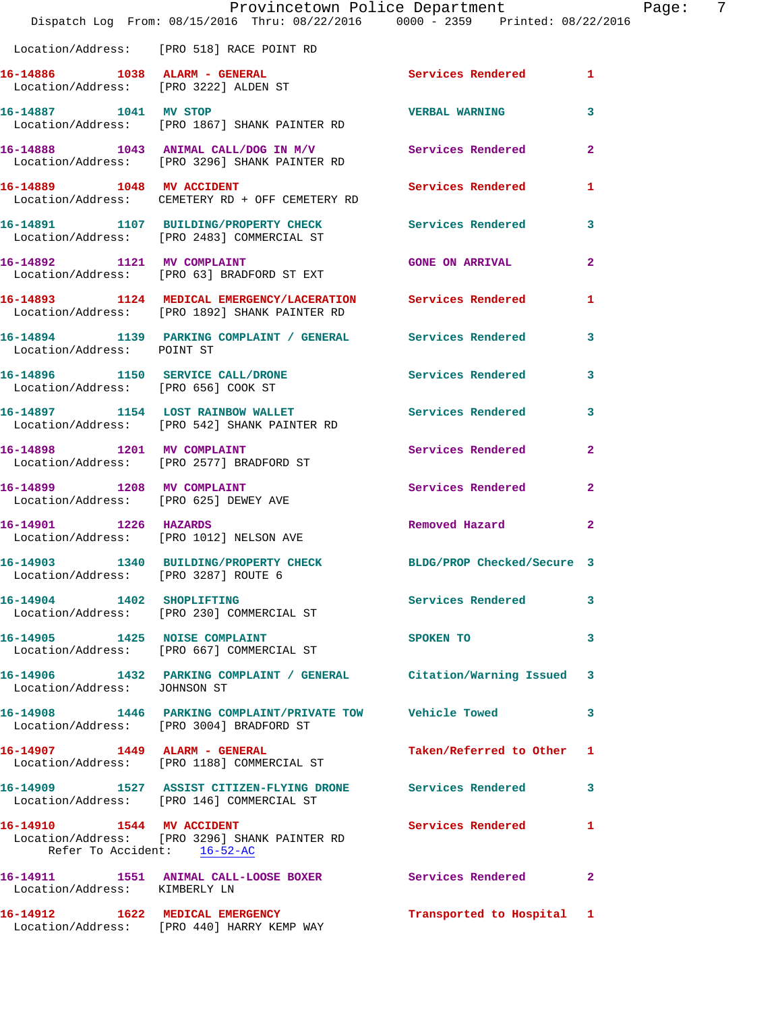|                                                                     | Provincetown Police Department<br>Dispatch Log From: 08/15/2016 Thru: 08/22/2016 0000 - 2359 Printed: 08/22/2016 |                            |                |
|---------------------------------------------------------------------|------------------------------------------------------------------------------------------------------------------|----------------------------|----------------|
|                                                                     | Location/Address: [PRO 518] RACE POINT RD                                                                        |                            |                |
| Location/Address: [PRO 3222] ALDEN ST                               | 16-14886 1038 ALARM - GENERAL                                                                                    | <b>Services Rendered</b>   | 1              |
| 16-14887 1041 MV STOP                                               | Location/Address: [PRO 1867] SHANK PAINTER RD                                                                    | <b>VERBAL WARNING</b>      | 3              |
|                                                                     | 16-14888 1043 ANIMAL CALL/DOG IN M/V Services Rendered<br>Location/Address: [PRO 3296] SHANK PAINTER RD          |                            | $\mathbf{2}$   |
| 16-14889 1048 MV ACCIDENT                                           | Location/Address: CEMETERY RD + OFF CEMETERY RD                                                                  | Services Rendered          | 1              |
|                                                                     | 16-14891 1107 BUILDING/PROPERTY CHECK Services Rendered<br>Location/Address: [PRO 2483] COMMERCIAL ST            |                            | 3              |
|                                                                     | 16-14892 1121 MV COMPLAINT<br>Location/Address: [PRO 63] BRADFORD ST EXT                                         | <b>GONE ON ARRIVAL</b>     | $\mathbf{2}$   |
|                                                                     | 16-14893 1124 MEDICAL EMERGENCY/LACERATION Services Rendered<br>Location/Address: [PRO 1892] SHANK PAINTER RD    |                            | 1              |
| Location/Address: POINT ST                                          | 16-14894 1139 PARKING COMPLAINT / GENERAL Services Rendered                                                      |                            | 3              |
| Location/Address: [PRO 656] COOK ST                                 | 16-14896 1150 SERVICE CALL/DRONE                                                                                 | Services Rendered          | 3              |
|                                                                     | 16-14897 1154 LOST RAINBOW WALLET<br>Location/Address: [PRO 542] SHANK PAINTER RD                                | <b>Services Rendered</b>   | 3              |
|                                                                     | 16-14898 1201 MV COMPLAINT<br>Location/Address: [PRO 2577] BRADFORD ST                                           | Services Rendered          | $\overline{a}$ |
| 16-14899 1208 MV COMPLAINT<br>Location/Address: [PRO 625] DEWEY AVE |                                                                                                                  | Services Rendered          | $\mathbf{2}$   |
| 16-14901 1226 HAZARDS                                               | Location/Address: [PRO 1012] NELSON AVE                                                                          | Removed Hazard             | $\mathbf{2}$   |
| Location/Address: [PRO 3287] ROUTE 6                                | 16-14903 1340 BUILDING/PROPERTY CHECK                                                                            | BLDG/PROP Checked/Secure 3 |                |
|                                                                     | 16-14904 1402 SHOPLIFTING<br>Location/Address: [PRO 230] COMMERCIAL ST                                           | Services Rendered          | 3              |
|                                                                     | 16-14905 1425 NOISE COMPLAINT<br>Location/Address: [PRO 667] COMMERCIAL ST                                       | SPOKEN TO                  | 3              |
| Location/Address: JOHNSON ST                                        | 16-14906 1432 PARKING COMPLAINT / GENERAL Citation/Warning Issued 3                                              |                            |                |
|                                                                     | 16-14908 1446 PARKING COMPLAINT/PRIVATE TOW Vehicle Towed<br>Location/Address: [PRO 3004] BRADFORD ST            |                            | 3              |
|                                                                     | 16-14907 1449 ALARM - GENERAL<br>Location/Address: [PRO 1188] COMMERCIAL ST                                      | Taken/Referred to Other 1  |                |
|                                                                     | 16-14909 1527 ASSIST CITIZEN-FLYING DRONE Services Rendered<br>Location/Address: [PRO 146] COMMERCIAL ST         |                            | 3              |
| 16-14910 1544 MV ACCIDENT<br>Refer To Accident: 16-52-AC            | Location/Address: [PRO 3296] SHANK PAINTER RD                                                                    | Services Rendered          | -1             |
| Location/Address: KIMBERLY LN                                       | 16-14911 1551 ANIMAL CALL-LOOSE BOXER Services Rendered                                                          |                            | $\mathbf{2}$   |
|                                                                     | 16-14912 1622 MEDICAL EMERGENCY<br>Location/Address: [PRO 440] HARRY KEMP WAY                                    | Transported to Hospital 1  |                |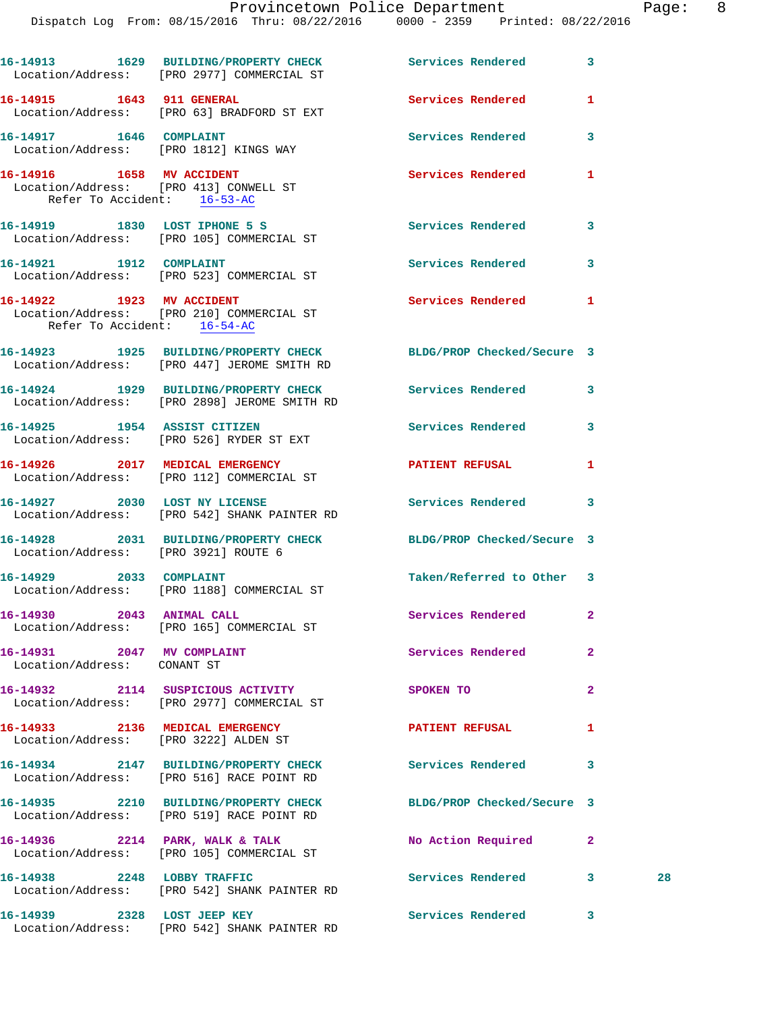|                                                           | 16-14913 1629 BUILDING/PROPERTY CHECK<br>Location/Address: [PRO 2977] COMMERCIAL ST                             | Services Rendered 3        |              |    |
|-----------------------------------------------------------|-----------------------------------------------------------------------------------------------------------------|----------------------------|--------------|----|
| 16-14915    1643    911    GENERAL                        | Location/Address: [PRO 63] BRADFORD ST EXT                                                                      | Services Rendered          | 1            |    |
|                                                           | 16-14917 1646 COMPLAINT<br>Location/Address: [PRO 1812] KINGS WAY                                               | Services Rendered          | 3            |    |
|                                                           | 16-14916   1658   MV   ACCIDENT<br>Location/Address: [PRO 413] CONWELL ST<br>Refer To Accident: 16-53-AC        | Services Rendered          | 1            |    |
|                                                           | 16-14919 1830 LOST IPHONE 5 S<br>Location/Address: [PRO 105] COMMERCIAL ST                                      | Services Rendered 3        |              |    |
|                                                           | 16-14921 1912 COMPLAINT<br>Location/Address: [PRO 523] COMMERCIAL ST                                            | Services Rendered          | 3            |    |
| 16-14922 1923 MV ACCIDENT<br>Refer To Accident: 16-54-AC  | Location/Address: [PRO 210] COMMERCIAL ST                                                                       | Services Rendered          | -1           |    |
|                                                           | 16-14923 1925 BUILDING/PROPERTY CHECK BLDG/PROP Checked/Secure 3<br>Location/Address: [PRO 447] JEROME SMITH RD |                            |              |    |
|                                                           | 16-14924 1929 BUILDING/PROPERTY CHECK<br>Location/Address: [PRO 2898] JEROME SMITH RD                           | <b>Services Rendered</b>   | 3            |    |
|                                                           | 16-14925 1954 ASSIST CITIZEN<br>Location/Address: [PRO 526] RYDER ST EXT                                        | Services Rendered          | 3            |    |
|                                                           | 16-14926 2017 MEDICAL EMERGENCY<br>Location/Address: [PRO 112] COMMERCIAL ST                                    | <b>PATIENT REFUSAL</b>     | 1            |    |
|                                                           | 16-14927 2030 LOST NY LICENSE<br>Location/Address: [PRO 542] SHANK PAINTER RD                                   | Services Rendered 3        |              |    |
|                                                           | 16-14928 2031 BUILDING/PROPERTY CHECK BLDG/PROP Checked/Secure 3<br>Location/Address: [PRO 3921] ROUTE 6        |                            |              |    |
| 16-14929 2033 COMPLAINT                                   | Location/Address: [PRO 1188] COMMERCIAL ST                                                                      | Taken/Referred to Other 3  |              |    |
| 16-14930 2043 ANIMAL CALL                                 | Location/Address: [PRO 165] COMMERCIAL ST                                                                       | Services Rendered          | 2            |    |
| 16-14931 2047 MV COMPLAINT<br>Location/Address: CONANT ST |                                                                                                                 | Services Rendered          | $\mathbf{2}$ |    |
|                                                           | 16-14932 2114 SUSPICIOUS ACTIVITY<br>Location/Address: [PRO 2977] COMMERCIAL ST                                 | SPOKEN TO                  | $\mathbf{2}$ |    |
|                                                           | 16-14933 2136 MEDICAL EMERGENCY<br>Location/Address: [PRO 3222] ALDEN ST                                        | <b>PATIENT REFUSAL</b>     | 1            |    |
|                                                           | 16-14934 2147 BUILDING/PROPERTY CHECK<br>Location/Address: [PRO 516] RACE POINT RD                              | Services Rendered          | 3            |    |
|                                                           | 16-14935 2210 BUILDING/PROPERTY CHECK<br>Location/Address: [PRO 519] RACE POINT RD                              | BLDG/PROP Checked/Secure 3 |              |    |
|                                                           | 16-14936 2214 PARK, WALK & TALK<br>Location/Address: [PRO 105] COMMERCIAL ST                                    | No Action Required         | $\mathbf{2}$ |    |
| 16-14938 2248 LOBBY TRAFFIC                               | Location/Address: [PRO 542] SHANK PAINTER RD                                                                    | Services Rendered 3        |              | 28 |
|                                                           | 16-14939 2328 LOST JEEP KEY                                                                                     | <b>Services Rendered</b>   | 3            |    |

Location/Address: [PRO 542] SHANK PAINTER RD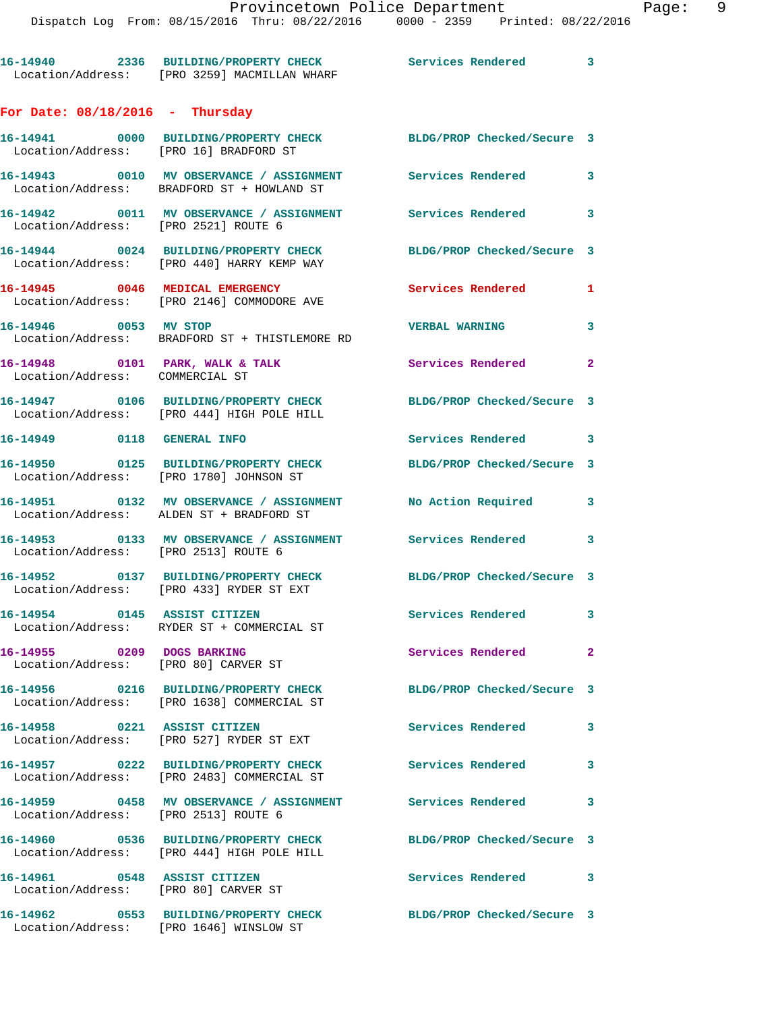|                                                                      | 16-14940 2336 BUILDING/PROPERTY CHECK Services Rendered<br>Location/Address: [PRO 3259] MACMILLAN WHARF    |                            | 3            |
|----------------------------------------------------------------------|------------------------------------------------------------------------------------------------------------|----------------------------|--------------|
| For Date: $08/18/2016$ - Thursday                                    |                                                                                                            |                            |              |
| Location/Address: [PRO 16] BRADFORD ST                               | 16-14941 0000 BUILDING/PROPERTY CHECK BLDG/PROP Checked/Secure 3                                           |                            |              |
|                                                                      | 16-14943 0010 MV OBSERVANCE / ASSIGNMENT Services Rendered 3<br>Location/Address: BRADFORD ST + HOWLAND ST |                            |              |
| Location/Address: [PRO 2521] ROUTE 6                                 | 16-14942 0011 MV OBSERVANCE / ASSIGNMENT Services Rendered                                                 |                            | 3            |
|                                                                      | 16-14944 0024 BUILDING/PROPERTY CHECK<br>Location/Address: [PRO 440] HARRY KEMP WAY                        | BLDG/PROP Checked/Secure 3 |              |
|                                                                      | 16-14945 0046 MEDICAL EMERGENCY<br>Location/Address: [PRO 2146] COMMODORE AVE                              | Services Rendered          | 1            |
| 16-14946 0053 MV STOP                                                | Location/Address: BRADFORD ST + THISTLEMORE RD                                                             | <b>VERBAL WARNING</b>      | 3            |
| Location/Address: COMMERCIAL ST                                      | 16-14948 0101 PARK, WALK & TALK                                                                            | Services Rendered          | $\mathbf{2}$ |
|                                                                      | 16-14947 0106 BUILDING/PROPERTY CHECK<br>Location/Address: [PRO 444] HIGH POLE HILL                        | BLDG/PROP Checked/Secure 3 |              |
| 16-14949 0118 GENERAL INFO                                           |                                                                                                            | Services Rendered 3        |              |
|                                                                      | 16-14950 0125 BUILDING/PROPERTY CHECK<br>Location/Address: [PRO 1780] JOHNSON ST                           | BLDG/PROP Checked/Secure 3 |              |
|                                                                      |                                                                                                            | No Action Required         | $\mathbf{3}$ |
| Location/Address: [PRO 2513] ROUTE 6                                 | 16-14953      0133   MV OBSERVANCE / ASSIGNMENT      Services Rendered                                     |                            | 3            |
|                                                                      | 16-14952 0137 BUILDING/PROPERTY CHECK<br>Location/Address: [PRO 433] RYDER ST EXT                          | BLDG/PROP Checked/Secure 3 |              |
| 16-14954 0145 ASSIST CITIZEN                                         | Location/Address: RYDER ST + COMMERCIAL ST                                                                 | Services Rendered 3        |              |
| 16-14955 0209 DOGS BARKING<br>Location/Address: [PRO 80] CARVER ST   |                                                                                                            | Services Rendered          | $\mathbf{2}$ |
|                                                                      | 16-14956 0216 BUILDING/PROPERTY CHECK<br>Location/Address: [PRO 1638] COMMERCIAL ST                        | BLDG/PROP Checked/Secure 3 |              |
| 16-14958 0221 ASSIST CITIZEN                                         | Location/Address: [PRO 527] RYDER ST EXT                                                                   | <b>Services Rendered</b>   | 3            |
|                                                                      | 16-14957 0222 BUILDING/PROPERTY CHECK<br>Location/Address: [PRO 2483] COMMERCIAL ST                        | Services Rendered          | 3            |
| Location/Address: [PRO 2513] ROUTE 6                                 | 16-14959 0458 MV OBSERVANCE / ASSIGNMENT                                                                   | Services Rendered          | 3            |
|                                                                      | 16-14960 0536 BUILDING/PROPERTY CHECK<br>Location/Address: [PRO 444] HIGH POLE HILL                        | BLDG/PROP Checked/Secure 3 |              |
| 16-14961 0548 ASSIST CITIZEN<br>Location/Address: [PRO 80] CARVER ST |                                                                                                            | Services Rendered          | $\mathbf{3}$ |
| Location/Address: [PRO 1646] WINSLOW ST                              | 16-14962 0553 BUILDING/PROPERTY CHECK                                                                      | BLDG/PROP Checked/Secure 3 |              |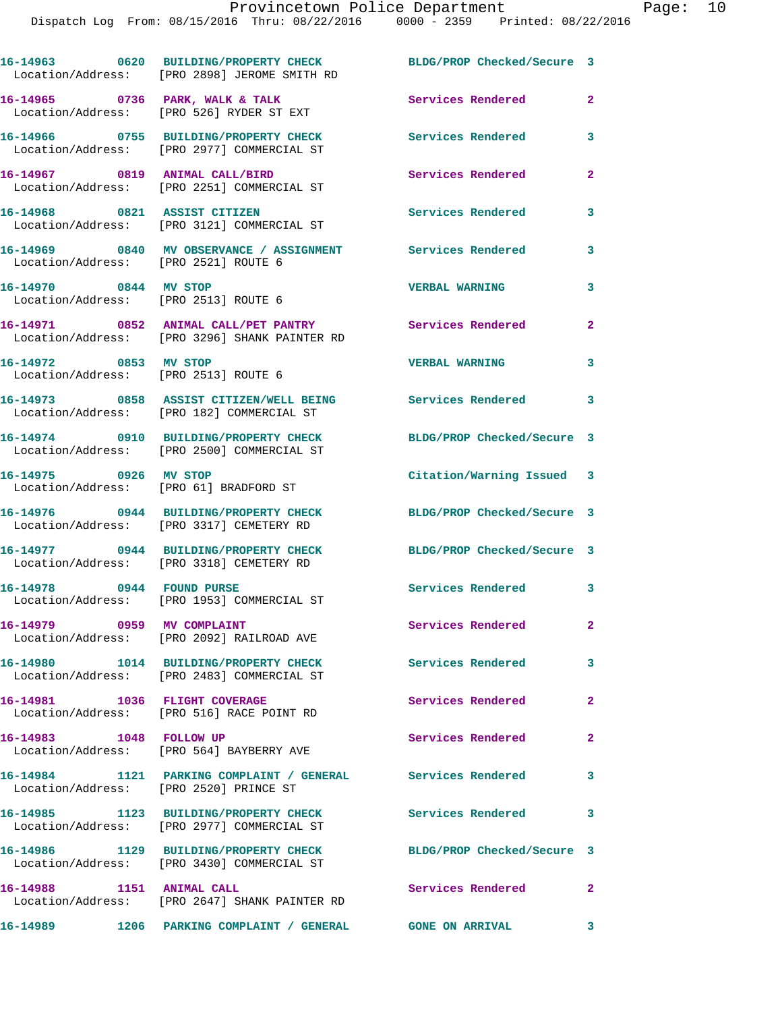|                                        | 16-14963 0620 BUILDING/PROPERTY CHECK<br>Location/Address: [PRO 2898] JEROME SMITH RD                   | BLDG/PROP Checked/Secure 3 |                |
|----------------------------------------|---------------------------------------------------------------------------------------------------------|----------------------------|----------------|
|                                        | 16-14965 0736 PARK, WALK & TALK<br>Location/Address: [PRO 526] RYDER ST EXT                             | Services Rendered          | $\mathbf{2}$   |
|                                        | 16-14966 0755 BUILDING/PROPERTY CHECK<br>Location/Address: [PRO 2977] COMMERCIAL ST                     | Services Rendered          | 3              |
| 16-14967 0819 ANIMAL CALL/BIRD         | Location/Address: [PRO 2251] COMMERCIAL ST                                                              | <b>Services Rendered</b>   | $\mathbf{2}$   |
|                                        | 16-14968 0821 ASSIST CITIZEN<br>Location/Address: [PRO 3121] COMMERCIAL ST                              | Services Rendered          | 3              |
| Location/Address: [PRO 2521] ROUTE 6   | 16-14969 0840 MV OBSERVANCE / ASSIGNMENT Services Rendered                                              |                            | 3              |
| 16-14970 0844 MV STOP                  | Location/Address: [PRO 2513] ROUTE 6                                                                    | <b>VERBAL WARNING</b>      | 3              |
|                                        | 16-14971 0852 ANIMAL CALL/PET PANTRY Services Rendered<br>Location/Address: [PRO 3296] SHANK PAINTER RD |                            | $\overline{2}$ |
| 16-14972 0853 MV STOP                  | Location/Address: [PRO 2513] ROUTE 6                                                                    | <b>VERBAL WARNING</b>      | 3              |
|                                        | 16-14973 0858 ASSIST CITIZEN/WELL BEING Services Rendered<br>Location/Address: [PRO 182] COMMERCIAL ST  |                            | 3              |
|                                        | 16-14974 0910 BUILDING/PROPERTY CHECK<br>Location/Address: [PRO 2500] COMMERCIAL ST                     | BLDG/PROP Checked/Secure 3 |                |
| 16-14975 0926 MV STOP                  | Location/Address: [PRO 61] BRADFORD ST                                                                  | Citation/Warning Issued 3  |                |
|                                        | 16-14976 0944 BUILDING/PROPERTY CHECK<br>Location/Address: [PRO 3317] CEMETERY RD                       | BLDG/PROP Checked/Secure 3 |                |
|                                        | 16-14977 0944 BUILDING/PROPERTY CHECK<br>Location/Address: [PRO 3318] CEMETERY RD                       | BLDG/PROP Checked/Secure 3 |                |
| 16-14978 0944 FOUND PURSE              | Location/Address: [PRO 1953] COMMERCIAL ST                                                              | Services Rendered 3        |                |
| 16-14979 0959 MV COMPLAINT             | Location/Address: [PRO 2092] RAILROAD AVE                                                               | Services Rendered          | $\mathbf{2}$   |
|                                        | 16-14980 1014 BUILDING/PROPERTY CHECK<br>Location/Address: [PRO 2483] COMMERCIAL ST                     | Services Rendered          | $\mathbf{3}$   |
|                                        | 16-14981 1036 FLIGHT COVERAGE<br>Location/Address: [PRO 516] RACE POINT RD                              | Services Rendered          | $\mathbf{2}$   |
| 16-14983 1048 FOLLOW UP                | Location/Address: [PRO 564] BAYBERRY AVE                                                                | Services Rendered          | $\overline{2}$ |
| Location/Address: [PRO 2520] PRINCE ST | 16-14984 1121 PARKING COMPLAINT / GENERAL Services Rendered                                             |                            | 3              |
|                                        | 16-14985 1123 BUILDING/PROPERTY CHECK<br>Location/Address: [PRO 2977] COMMERCIAL ST                     | <b>Services Rendered</b>   | $\mathbf{3}$   |
|                                        | 16-14986 1129 BUILDING/PROPERTY CHECK<br>Location/Address: [PRO 3430] COMMERCIAL ST                     | BLDG/PROP Checked/Secure 3 |                |
| 16-14988 1151 ANIMAL CALL              | Location/Address: [PRO 2647] SHANK PAINTER RD                                                           | Services Rendered          | $\mathbf{2}$   |
|                                        |                                                                                                         |                            | 3              |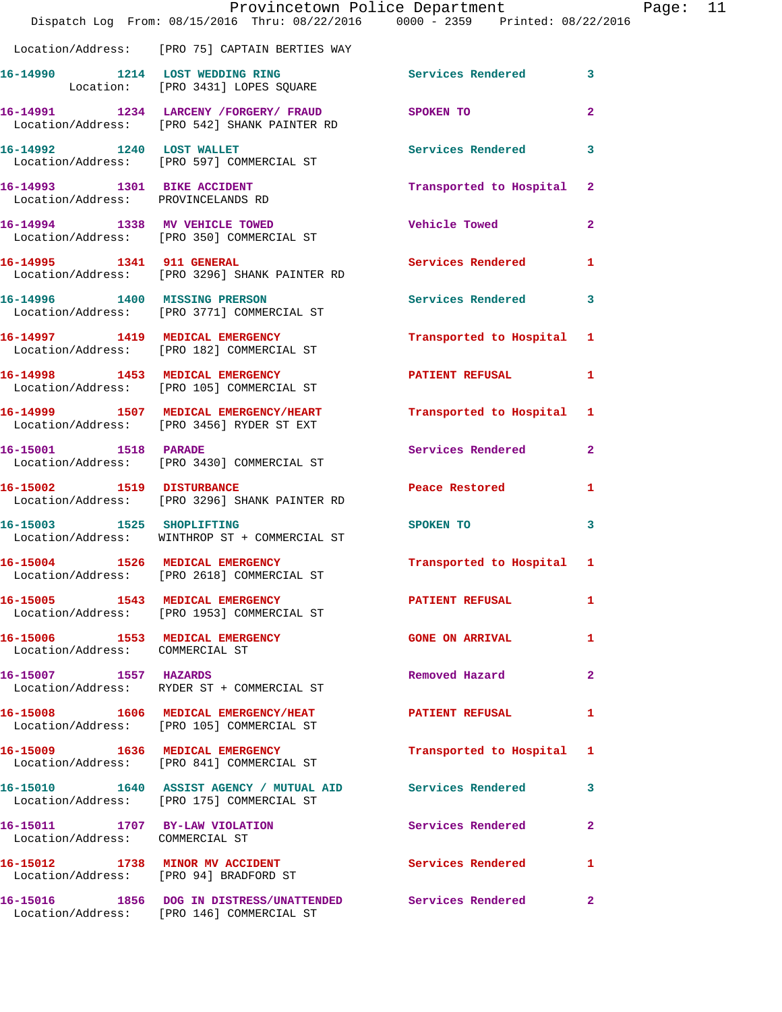|                                                                    | Provincetown Police Department                                                                          |                          |                         |
|--------------------------------------------------------------------|---------------------------------------------------------------------------------------------------------|--------------------------|-------------------------|
|                                                                    | Dispatch Log From: 08/15/2016 Thru: 08/22/2016 0000 - 2359 Printed: 08/22/2016                          |                          |                         |
|                                                                    | Location/Address: [PRO 75] CAPTAIN BERTIES WAY                                                          |                          |                         |
|                                                                    | 16-14990 1214 LOST WEDDING RING<br>Location: [PRO 3431] LOPES SQUARE                                    | Services Rendered        | 3                       |
|                                                                    | 16-14991 1234 LARCENY /FORGERY/ FRAUD SPOKEN TO<br>Location/Address: [PRO 542] SHANK PAINTER RD         |                          | $\overline{\mathbf{2}}$ |
| 16-14992 1240 LOST WALLET                                          | Location/Address: [PRO 597] COMMERCIAL ST                                                               | <b>Services Rendered</b> | 3                       |
| 16-14993 1301 BIKE ACCIDENT<br>Location/Address: PROVINCELANDS RD  |                                                                                                         | Transported to Hospital  | $\mathbf{2}$            |
|                                                                    | 16-14994 1338 MV VEHICLE TOWED<br>Location/Address: [PRO 350] COMMERCIAL ST                             | <b>Vehicle Towed</b>     | 2                       |
| 16-14995 1341 911 GENERAL                                          | Location/Address: [PRO 3296] SHANK PAINTER RD                                                           | <b>Services Rendered</b> | 1                       |
|                                                                    | 16-14996 1400 MISSING PRERSON<br>Location/Address: [PRO 3771] COMMERCIAL ST                             | Services Rendered        | 3                       |
|                                                                    | 16-14997 1419 MEDICAL EMERGENCY<br>Location/Address: [PRO 182] COMMERCIAL ST                            | Transported to Hospital  | 1                       |
|                                                                    | 16-14998 1453 MEDICAL EMERGENCY<br>Location/Address: [PRO 105] COMMERCIAL ST                            | <b>PATIENT REFUSAL</b>   | 1                       |
|                                                                    | 16-14999 1507 MEDICAL EMERGENCY/HEART<br>Location/Address: [PRO 3456] RYDER ST EXT                      | Transported to Hospital  | -1                      |
| 16-15001 1518 PARADE                                               | Location/Address: [PRO 3430] COMMERCIAL ST                                                              | Services Rendered        | $\overline{\mathbf{2}}$ |
| 16-15002 1519 DISTURBANCE                                          | Location/Address: [PRO 3296] SHANK PAINTER RD                                                           | Peace Restored           | 1                       |
| 16-15003 1525 SHOPLIFTING                                          | Location/Address: WINTHROP ST + COMMERCIAL ST                                                           | SPOKEN TO                | 3                       |
| 16-15004 1526 MEDICAL EMERGENCY                                    | Location/Address: [PRO 2618] COMMERCIAL ST                                                              | Transported to Hospital  | 1                       |
|                                                                    | 16-15005 1543 MEDICAL EMERGENCY<br>Location/Address: [PRO 1953] COMMERCIAL ST                           | <b>PATIENT REFUSAL</b>   | 1                       |
| 16-15006 1553 MEDICAL EMERGENCY<br>Location/Address: COMMERCIAL ST |                                                                                                         | <b>GONE ON ARRIVAL</b>   | 1                       |
| 16-15007 1557 HAZARDS                                              | Location/Address: RYDER ST + COMMERCIAL ST                                                              | Removed Hazard           | 2                       |
|                                                                    | 16-15008 1606 MEDICAL EMERGENCY/HEAT<br>Location/Address: [PRO 105] COMMERCIAL ST                       | <b>PATIENT REFUSAL</b>   | 1                       |
|                                                                    | 16-15009 1636 MEDICAL EMERGENCY<br>Location/Address: [PRO 841] COMMERCIAL ST                            | Transported to Hospital  | 1                       |
|                                                                    | 16-15010 1640 ASSIST AGENCY / MUTUAL AID Services Rendered<br>Location/Address: [PRO 175] COMMERCIAL ST |                          | 3                       |
| 16-15011 1707 BY-LAW VIOLATION<br>Location/Address: COMMERCIAL ST  |                                                                                                         | Services Rendered        | 2                       |
| Location/Address: [PRO 94] BRADFORD ST                             | 16-15012 1738 MINOR MV ACCIDENT                                                                         | <b>Services Rendered</b> | 1                       |
|                                                                    | 16-15016 1856 DOG IN DISTRESS/UNATTENDED Services Rendered<br>Location/Address: [PRO 146] COMMERCIAL ST |                          | $\mathbf{2}$            |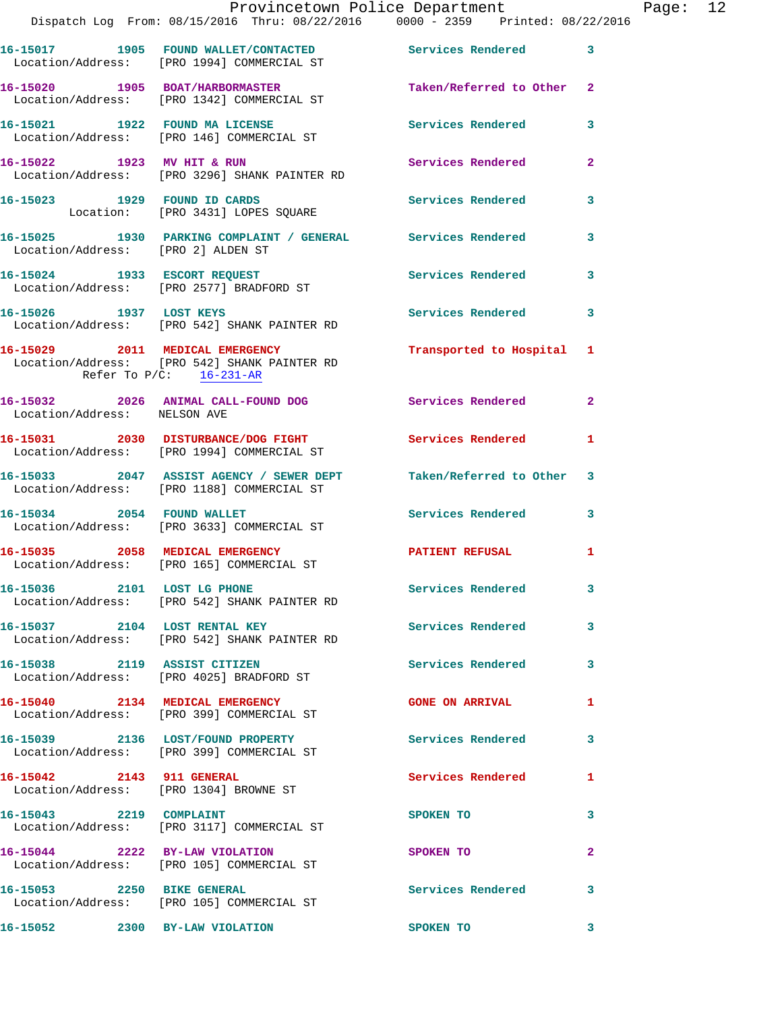|                                    | Dispatch Log From: 08/15/2016 Thru: 08/22/2016 0000 - 2359 Printed: 08/22/2016                                   | Provincetown Police Department |              | Page: 12 |  |
|------------------------------------|------------------------------------------------------------------------------------------------------------------|--------------------------------|--------------|----------|--|
|                                    | 16-15017 1905 FOUND WALLET/CONTACTED Services Rendered 3<br>Location/Address: [PRO 1994] COMMERCIAL ST           |                                |              |          |  |
|                                    | 16-15020 1905 BOAT/HARBORMASTER Taken/Referred to Other 2<br>Location/Address: [PRO 1342] COMMERCIAL ST          |                                |              |          |  |
|                                    | 16-15021 1922 FOUND MA LICENSE<br>Location/Address: [PRO 146] COMMERCIAL ST                                      | Services Rendered 3            |              |          |  |
|                                    | 16-15022 1923 MV HIT & RUN<br>Location/Address: [PRO 3296] SHANK PAINTER RD                                      | Services Rendered              | $\mathbf{2}$ |          |  |
|                                    | 16-15023 1929 FOUND ID CARDS<br>Location: [PRO 3431] LOPES SQUARE                                                | Services Rendered 3            |              |          |  |
| Location/Address: [PRO 2] ALDEN ST | 16-15025 1930 PARKING COMPLAINT / GENERAL Services Rendered                                                      |                                | 3            |          |  |
|                                    | 16-15024 1933 ESCORT REQUEST<br>Location/Address: [PRO 2577] BRADFORD ST                                         | Services Rendered 3            |              |          |  |
|                                    | 16-15026 1937 LOST KEYS<br>Location/Address: [PRO 542] SHANK PAINTER RD                                          | Services Rendered 3            |              |          |  |
| Refer To $P/C$ : 16-231-AR         | 16-15029 2011 MEDICAL EMERGENCY<br>Location/Address: [PRO 542] SHANK PAINTER RD                                  | Transported to Hospital 1      |              |          |  |
| Location/Address: NELSON AVE       | 16-15032 2026 ANIMAL CALL-FOUND DOG Services Rendered 2                                                          |                                |              |          |  |
|                                    | 16-15031  2030  DISTURBANCE/DOG FIGHT  Services Rendered<br>Location/Address: [PRO 1994] COMMERCIAL ST           |                                | $\mathbf{1}$ |          |  |
|                                    | 16-15033 2047 ASSIST AGENCY / SEWER DEPT Taken/Referred to Other 3<br>Location/Address: [PRO 1188] COMMERCIAL ST |                                |              |          |  |
|                                    | 16-15034 2054 FOUND WALLET<br>Location/Address: [PRO 3633] COMMERCIAL ST                                         | Services Rendered 3            |              |          |  |
|                                    | 16-15035 2058 MEDICAL EMERGENCY PATIENT REFUSAL<br>Location/Address: [PRO 165] COMMERCIAL ST                     |                                | 1            |          |  |
|                                    | 16-15036 2101 LOST LG PHONE<br>Location/Address: [PRO 542] SHANK PAINTER RD                                      | Services Rendered 3            |              |          |  |
|                                    | 16-15037 2104 LOST RENTAL KEY<br>Location/Address: [PRO 542] SHANK PAINTER RD                                    | <b>Services Rendered</b> 3     |              |          |  |
|                                    | 16-15038 2119 ASSIST CITIZEN<br>Location/Address: [PRO 4025] BRADFORD ST                                         | Services Rendered 3            |              |          |  |
|                                    | 16-15040 2134 MEDICAL EMERGENCY<br>Location/Address: [PRO 399] COMMERCIAL ST                                     | <b>GONE ON ARRIVAL</b>         | 1            |          |  |
|                                    | 16-15039 2136 LOST/FOUND PROPERTY Services Rendered<br>Location/Address: [PRO 399] COMMERCIAL ST                 |                                | 3            |          |  |
|                                    | 16-15042 2143 911 GENERAL<br>Location/Address: [PRO 1304] BROWNE ST                                              | Services Rendered 1            |              |          |  |
| 16-15043 2219 COMPLAINT            | Location/Address: [PRO 3117] COMMERCIAL ST                                                                       | SPOKEN TO                      | 3            |          |  |
|                                    | 16-15044 2222 BY-LAW VIOLATION<br>Location/Address: [PRO 105] COMMERCIAL ST                                      | SPOKEN TO                      | $\mathbf{2}$ |          |  |
|                                    | 16-15053 2250 BIKE GENERAL<br>Location/Address: [PRO 105] COMMERCIAL ST                                          | Services Rendered              | 3            |          |  |
|                                    | 16-15052 2300 BY-LAW VIOLATION                                                                                   | <b>SPOKEN TO</b>               | $\mathbf{3}$ |          |  |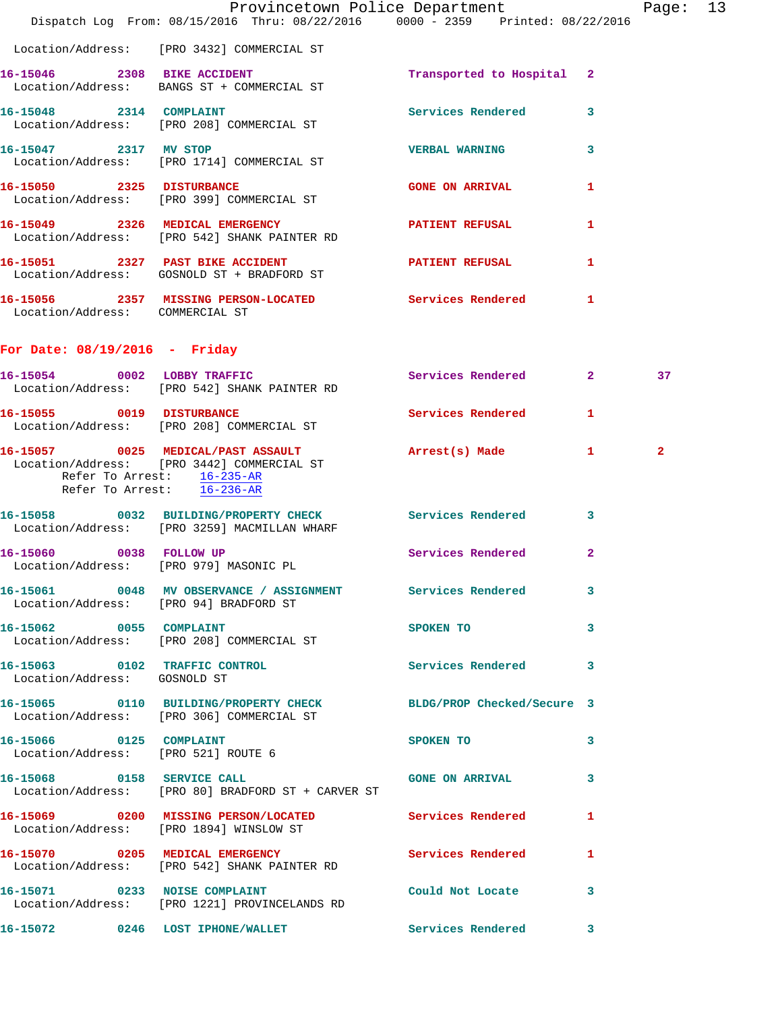|                                 | Dispatch Log From: 08/15/2016 Thru: 08/22/2016 0000 - 2359 Printed: 08/22/2016                                 | Provincetown Police Department |              | Page: 13     |  |
|---------------------------------|----------------------------------------------------------------------------------------------------------------|--------------------------------|--------------|--------------|--|
|                                 | Location/Address: [PRO 3432] COMMERCIAL ST                                                                     |                                |              |              |  |
|                                 | 16-15046 2308 BIKE ACCIDENT<br>Location/Address: BANGS ST + COMMERCIAL ST                                      | Transported to Hospital 2      |              |              |  |
|                                 | 16-15048 2314 COMPLAINT<br>Location/Address: [PRO 208] COMMERCIAL ST                                           | Services Rendered 3            |              |              |  |
| 16-15047 2317 MV STOP           | Location/Address: [PRO 1714] COMMERCIAL ST                                                                     | <b>VERBAL WARNING</b>          | $\mathbf{3}$ |              |  |
|                                 | 16-15050 2325 DISTURBANCE<br>Location/Address: [PRO 399] COMMERCIAL ST                                         | <b>GONE ON ARRIVAL</b>         | 1            |              |  |
|                                 | 16-15049 2326 MEDICAL EMERGENCY PATIENT REFUSAL<br>Location/Address: [PRO 542] SHANK PAINTER RD                |                                | 1            |              |  |
|                                 | 16-15051 2327 PAST BIKE ACCIDENT<br>Location/Address: GOSNOLD ST + BRADFORD ST                                 | PATIENT REFUSAL                | $\mathbf{1}$ |              |  |
| Location/Address: COMMERCIAL ST | 16-15056 2357 MISSING PERSON-LOCATED Services Rendered 1                                                       |                                |              |              |  |
| For Date: $08/19/2016$ - Friday |                                                                                                                |                                |              |              |  |
|                                 | 16-15054 0002 LOBBY TRAFFIC<br>Location/Address: [PRO 542] SHANK PAINTER RD                                    | Services Rendered 2            |              | 37           |  |
|                                 | 16-15055 0019 DISTURBANCE<br>Location/Address: [PRO 208] COMMERCIAL ST                                         | Services Rendered              | $\mathbf{1}$ |              |  |
| Refer To Arrest: 16-235-AR      | 16-15057 0025 MEDICAL/PAST ASSAULT<br>Location/Address: [PRO 3442] COMMERCIAL ST<br>Refer To Arrest: 16-236-AR | Arrest(s) Made                 | $\mathbf{1}$ | $\mathbf{2}$ |  |
|                                 | 16-15058 0032 BUILDING/PROPERTY CHECK Services Rendered 3<br>Location/Address: [PRO 3259] MACMILLAN WHARF      |                                |              |              |  |
|                                 | 16-15060 0038 FOLLOW UP<br>Location/Address: [PRO 979] MASONIC PL                                              | Services Rendered              | $\mathbf{2}$ |              |  |
|                                 | 16-15061 0048 MV OBSERVANCE / ASSIGNMENT Services Rendered 3<br>Location/Address: [PRO 94] BRADFORD ST         |                                |              |              |  |
|                                 | 16-15062 0055 COMPLAINT<br>Location/Address: [PRO 208] COMMERCIAL ST                                           | SPOKEN TO                      | $\mathbf{3}$ |              |  |
| Location/Address: GOSNOLD ST    | 16-15063 0102 TRAFFIC CONTROL                                                                                  | Services Rendered 3            |              |              |  |
|                                 | 16-15065 0110 BUILDING/PROPERTY CHECK BLDG/PROP Checked/Secure 3<br>Location/Address: [PRO 306] COMMERCIAL ST  |                                |              |              |  |
| 16-15066 0125 COMPLAINT         | Location/Address: [PRO 521] ROUTE 6                                                                            | <b>SPOKEN TO</b>               | $\sim$ 3     |              |  |
|                                 | 16-15068 0158 SERVICE CALL CONE GONE ON ARRIVAL 3<br>Location/Address: [PRO 80] BRADFORD ST + CARVER ST        |                                |              |              |  |
|                                 | 16-15069 0200 MISSING PERSON/LOCATED Services Rendered 1<br>Location/Address: [PRO 1894] WINSLOW ST            |                                |              |              |  |
|                                 | 16-15070 0205 MEDICAL EMERGENCY Services Rendered 1<br>Location/Address: [PRO 542] SHANK PAINTER RD            |                                |              |              |  |
| 16-15071 0233 NOISE COMPLAINT   | Location/Address: [PRO 1221] PROVINCELANDS RD                                                                  | Could Not Locate 3             |              |              |  |
|                                 | 16-15072 0246 LOST IPHONE/WALLET Services Rendered 3                                                           |                                |              |              |  |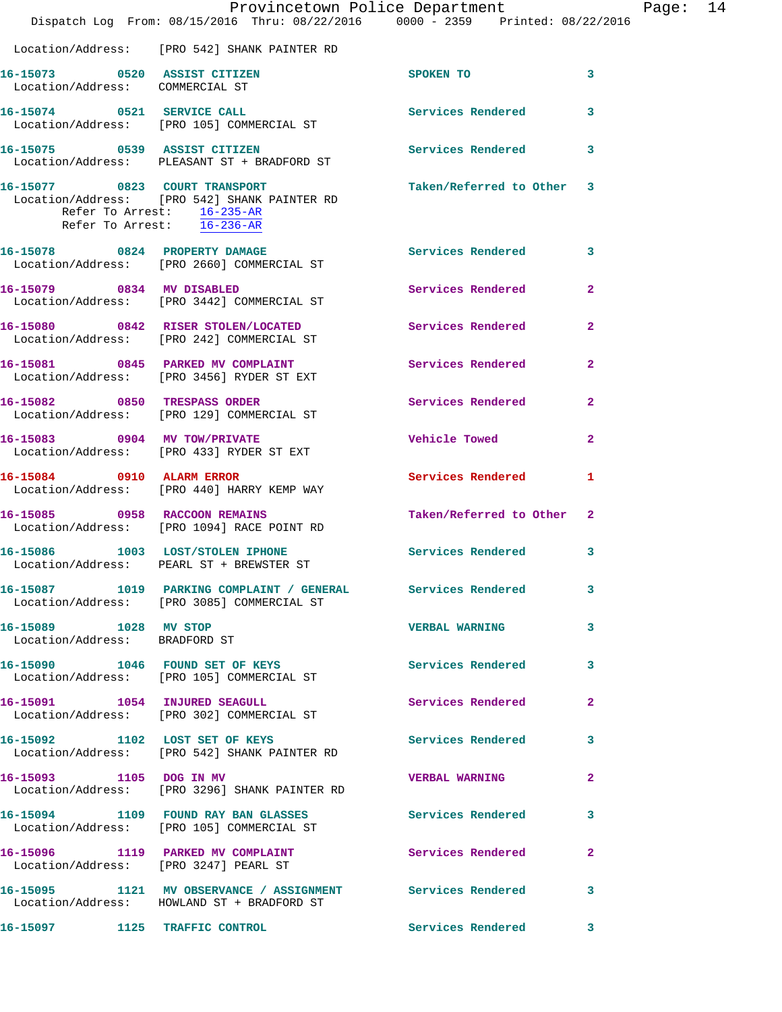|                                                                 | Provincetown Police Department                                                                              |                          |                |
|-----------------------------------------------------------------|-------------------------------------------------------------------------------------------------------------|--------------------------|----------------|
|                                                                 | Dispatch Log From: 08/15/2016 Thru: 08/22/2016 0000 - 2359 Printed: 08/22/2016                              |                          |                |
|                                                                 | Location/Address: [PRO 542] SHANK PAINTER RD                                                                |                          |                |
| 16-15073 0520 ASSIST CITIZEN<br>Location/Address: COMMERCIAL ST |                                                                                                             | <b>SPOKEN TO</b>         | 3              |
|                                                                 | 16-15074 0521 SERVICE CALL<br>Location/Address: [PRO 105] COMMERCIAL ST                                     | <b>Services Rendered</b> | 3              |
| 16-15075 0539 ASSIST CITIZEN                                    | Location/Address: PLEASANT ST + BRADFORD ST                                                                 | <b>Services Rendered</b> | 3              |
| Refer To Arrest: 16-236-AR                                      | 16-15077 0823 COURT TRANSPORT<br>Location/Address: [PRO 542] SHANK PAINTER RD<br>Refer To Arrest: 16-235-AR | Taken/Referred to Other  | 3              |
|                                                                 | 16-15078 0824 PROPERTY DAMAGE<br>Location/Address: [PRO 2660] COMMERCIAL ST                                 | <b>Services Rendered</b> | 3              |
| 16-15079 0834 MV DISABLED                                       | Location/Address: [PRO 3442] COMMERCIAL ST                                                                  | Services Rendered        | $\overline{2}$ |
|                                                                 | 16-15080 0842 RISER STOLEN/LOCATED<br>Location/Address: [PRO 242] COMMERCIAL ST                             | Services Rendered        | $\overline{a}$ |
|                                                                 | 16-15081 0845 PARKED MV COMPLAINT<br>Location/Address: [PRO 3456] RYDER ST EXT                              | <b>Services Rendered</b> | $\overline{a}$ |
|                                                                 | 16-15082 0850 TRESPASS ORDER<br>Location/Address: [PRO 129] COMMERCIAL ST                                   | Services Rendered        | $\mathbf{2}$   |
| 16-15083 0904 MV TOW/PRIVATE                                    | Location/Address: [PRO 433] RYDER ST EXT                                                                    | Vehicle Towed            | $\mathbf{2}$   |
| 16-15084 0910 ALARM ERROR                                       | Location/Address: [PRO 440] HARRY KEMP WAY                                                                  | Services Rendered        | 1.             |
| 16-15085 0958 RACCOON REMAINS                                   | Location/Address: [PRO 1094] RACE POINT RD                                                                  | Taken/Referred to Other  | $\overline{2}$ |
|                                                                 | 16-15086 1003 LOST/STOLEN IPHONE<br>Location/Address: PEARL ST + BREWSTER ST                                | <b>Services Rendered</b> | 3              |
|                                                                 | 16-15087 1019 PARKING COMPLAINT / GENERAL Services Rendered<br>Location/Address: [PRO 3085] COMMERCIAL ST   |                          | 3              |
| 16-15089 1028 MV STOP<br>Location/Address: BRADFORD ST          |                                                                                                             | <b>VERBAL WARNING</b>    | 3              |
|                                                                 | 16-15090 1046 FOUND SET OF KEYS<br>Location/Address: [PRO 105] COMMERCIAL ST                                | Services Rendered        | 3              |
|                                                                 | 16-15091 1054 INJURED SEAGULL<br>Location/Address: [PRO 302] COMMERCIAL ST                                  | Services Rendered        | $\overline{2}$ |
| 16-15092 1102 LOST SET OF KEYS                                  | Location/Address: [PRO 542] SHANK PAINTER RD                                                                | <b>Services Rendered</b> | 3              |
| 16-15093 1105 DOG IN MV                                         | Location/Address: [PRO 3296] SHANK PAINTER RD                                                               | <b>VERBAL WARNING</b>    | 2              |
|                                                                 | 16-15094 1109 FOUND RAY BAN GLASSES Services Rendered<br>Location/Address: [PRO 105] COMMERCIAL ST          |                          | 3              |
|                                                                 | 16-15096 1119 PARKED MV COMPLAINT<br>Location/Address: [PRO 3247] PEARL ST                                  | Services Rendered        | 2              |
|                                                                 | 16-15095 1121 MV OBSERVANCE / ASSIGNMENT Services Rendered<br>Location/Address: HOWLAND ST + BRADFORD ST    |                          | 3              |
|                                                                 | 16-15097 1125 TRAFFIC CONTROL                                                                               | <b>Services Rendered</b> | 3              |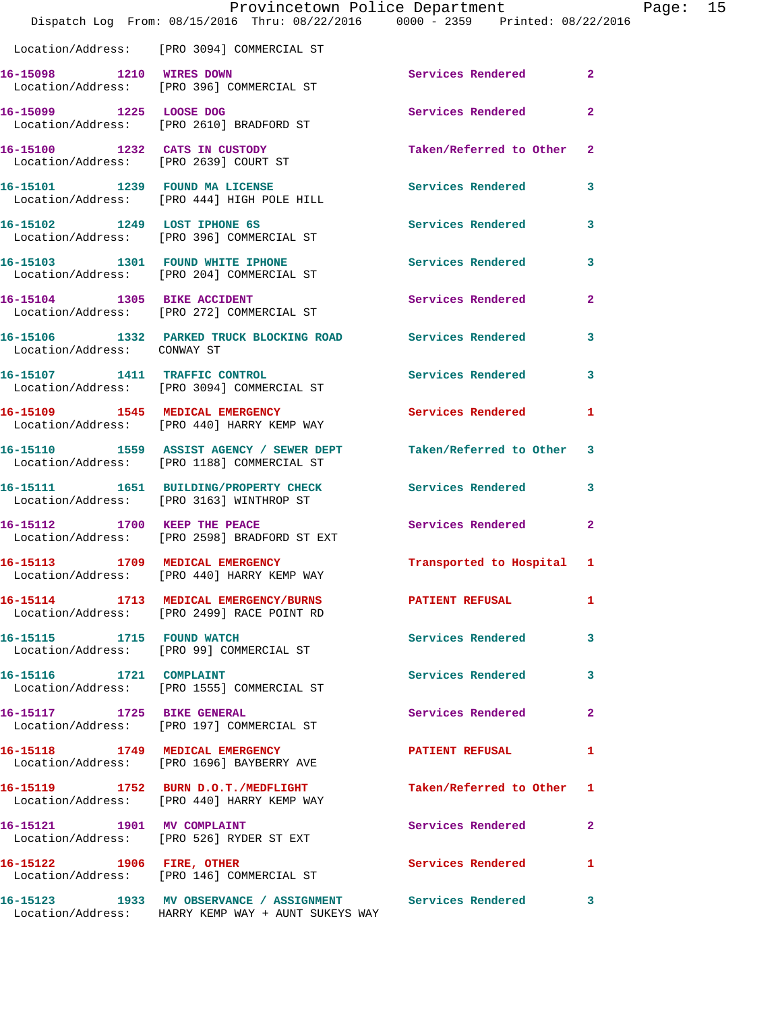|                                 | Dispatch Log From: 08/15/2016 Thru: 08/22/2016 0000 - 2359 Printed: 08/22/2016                                     | Provincetown Police Department |                | Page: 15 |  |
|---------------------------------|--------------------------------------------------------------------------------------------------------------------|--------------------------------|----------------|----------|--|
|                                 | Location/Address: [PRO 3094] COMMERCIAL ST                                                                         |                                |                |          |  |
| 16-15098 1210 WIRES DOWN        | Location/Address: [PRO 396] COMMERCIAL ST                                                                          | Services Rendered 2            |                |          |  |
|                                 | 16-15099 1225 LOOSE DOG<br>Location/Address: [PRO 2610] BRADFORD ST                                                | Services Rendered              | $\overline{2}$ |          |  |
|                                 | 16-15100 1232 CATS IN CUSTODY<br>Location/Address: [PRO 2639] COURT ST                                             | Taken/Referred to Other 2      |                |          |  |
|                                 | 16-15101 1239 FOUND MA LICENSE<br>Location/Address: [PRO 444] HIGH POLE HILL                                       | Services Rendered 3            |                |          |  |
|                                 | 16-15102 1249 LOST IPHONE 6S<br>Location/Address: [PRO 396] COMMERCIAL ST                                          | Services Rendered 3            |                |          |  |
|                                 | 16-15103 1301 FOUND WHITE IPHONE<br>Location/Address: [PRO 204] COMMERCIAL ST                                      | Services Rendered              | $\mathbf{3}$   |          |  |
|                                 | 16-15104 1305 BIKE ACCIDENT<br>Location/Address: [PRO 272] COMMERCIAL ST                                           | Services Rendered              | $\overline{2}$ |          |  |
| Location/Address: CONWAY ST     | 16-15106 1332 PARKED TRUCK BLOCKING ROAD Services Rendered 3                                                       |                                |                |          |  |
|                                 | 16-15107 1411 TRAFFIC CONTROL<br>Location/Address: [PRO 3094] COMMERCIAL ST                                        | Services Rendered              | 3              |          |  |
|                                 | 16-15109 1545 MEDICAL EMERGENCY<br>Location/Address: [PRO 440] HARRY KEMP WAY                                      | Services Rendered 1            |                |          |  |
|                                 | 16-15110 1559 ASSIST AGENCY / SEWER DEPT<br>Location/Address: [PRO 1188] COMMERCIAL ST                             | Taken/Referred to Other 3      |                |          |  |
|                                 | 16-15111 1651 BUILDING/PROPERTY CHECK Services Rendered 3<br>Location/Address: [PRO 3163] WINTHROP ST              |                                |                |          |  |
|                                 | 16-15112 1700 KEEP THE PEACE<br>Location/Address: [PRO 2598] BRADFORD ST EXT                                       | Services Rendered              | $\mathbf{2}$   |          |  |
| 16-15113 1709 MEDICAL EMERGENCY | Location/Address: [PRO 440] HARRY KEMP WAY                                                                         | Transported to Hospital 1      |                |          |  |
|                                 | 16-15114 1713 MEDICAL EMERGENCY/BURNS PATIENT REFUSAL<br>Location/Address: [PRO 2499] RACE POINT RD                |                                | 1              |          |  |
|                                 | 16-15115 1715 FOUND WATCH<br>Location/Address: [PRO 99] COMMERCIAL ST                                              | <b>Services Rendered</b>       | 3              |          |  |
| 16-15116 1721 COMPLAINT         | Location/Address: [PRO 1555] COMMERCIAL ST                                                                         | Services Rendered              | 3              |          |  |
|                                 | 16-15117 1725 BIKE GENERAL<br>Location/Address: [PRO 197] COMMERCIAL ST                                            | Services Rendered              | $\mathbf{2}$   |          |  |
|                                 | 16-15118 1749 MEDICAL EMERGENCY<br>Location/Address: [PRO 1696] BAYBERRY AVE                                       | <b>PATIENT REFUSAL</b>         | $\mathbf{1}$   |          |  |
|                                 | 16-15119 1752 BURN D.O.T./MEDFLIGHT<br>Location/Address: [PRO 440] HARRY KEMP WAY                                  | Taken/Referred to Other 1      |                |          |  |
|                                 | 16-15121 1901 MV COMPLAINT<br>Location/Address: [PRO 526] RYDER ST EXT                                             | Services Rendered              | $\mathbf{2}$   |          |  |
| 16-15122 1906 FIRE, OTHER       | Location/Address: [PRO 146] COMMERCIAL ST                                                                          | Services Rendered 1            |                |          |  |
|                                 | 16-15123 1933 MV OBSERVANCE / ASSIGNMENT Services Rendered 3<br>Location/Address: HARRY KEMP WAY + AUNT SUKEYS WAY |                                |                |          |  |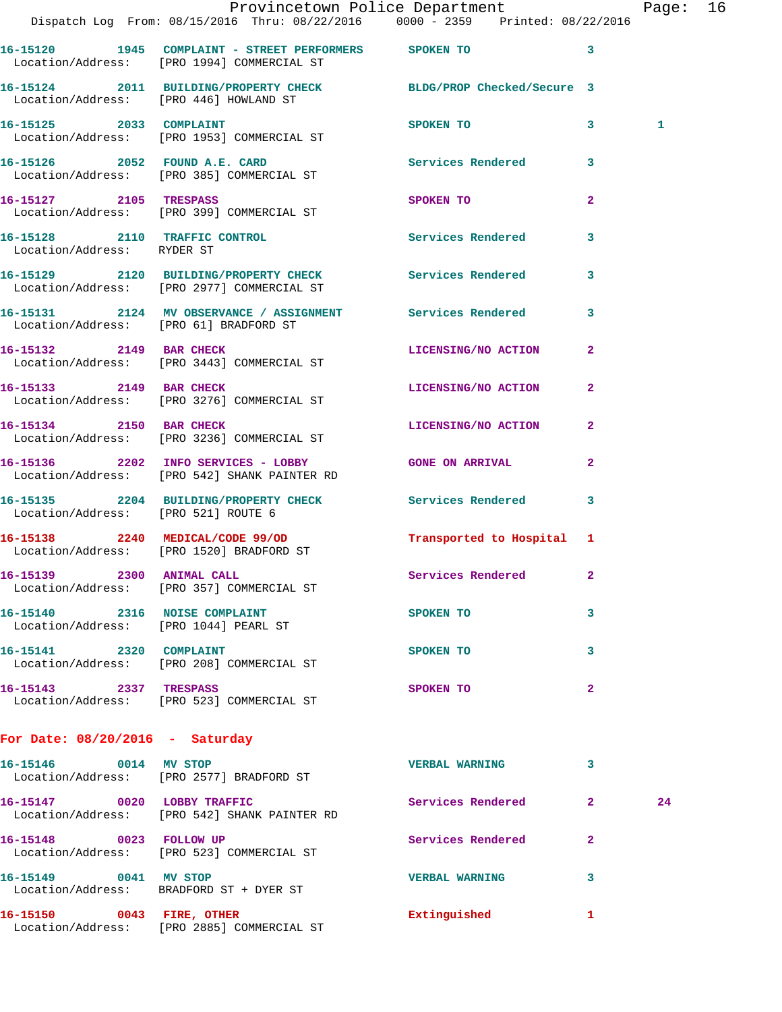|                                                                        | Dispatch Log From: 08/15/2016 Thru: 08/22/2016 0000 - 2359 Printed: 08/22/2016                             | Provincetown Police Department Page: 16 |              |    |  |
|------------------------------------------------------------------------|------------------------------------------------------------------------------------------------------------|-----------------------------------------|--------------|----|--|
|                                                                        | 16-15120 1945 COMPLAINT - STREET PERFORMERS SPOKEN TO                                                      |                                         | 3            |    |  |
|                                                                        | Location/Address: [PRO 1994] COMMERCIAL ST                                                                 |                                         |              |    |  |
|                                                                        | 16-15124 2011 BUILDING/PROPERTY CHECK BLDG/PROP Checked/Secure 3<br>Location/Address: [PRO 446] HOWLAND ST |                                         |              |    |  |
|                                                                        | 16-15125 2033 COMPLAINT<br>Location/Address: [PRO 1953] COMMERCIAL ST                                      | SPOKEN TO 3                             |              | 1  |  |
|                                                                        | 16-15126 2052 FOUND A.E. CARD Services Rendered 3<br>Location/Address: [PRO 385] COMMERCIAL ST             |                                         |              |    |  |
|                                                                        | 16-15127 2105 TRESPASS<br>Location/Address: [PRO 399] COMMERCIAL ST                                        | SPOKEN TO                               | $\mathbf{2}$ |    |  |
| Location/Address: RYDER ST                                             | 16-15128 2110 TRAFFIC CONTROL                                                                              | Services Rendered                       | 3            |    |  |
|                                                                        | 16-15129 2120 BUILDING/PROPERTY CHECK Services Rendered<br>Location/Address: [PRO 2977] COMMERCIAL ST      |                                         | $\mathbf{3}$ |    |  |
|                                                                        | 16-15131 2124 MV OBSERVANCE / ASSIGNMENT Services Rendered<br>Location/Address: [PRO 61] BRADFORD ST       |                                         | 3            |    |  |
|                                                                        | 16-15132 2149 BAR CHECK LICENSING/NO ACTION 2<br>Location/Address: [PRO 3443] COMMERCIAL ST                |                                         |              |    |  |
|                                                                        | 16-15133 2149 BAR CHECK<br>Location/Address: [PRO 3276] COMMERCIAL ST                                      | LICENSING/NO ACTION                     | $\mathbf{2}$ |    |  |
| 16-15134 2150 BAR CHECK                                                | Location/Address: [PRO 3236] COMMERCIAL ST                                                                 | LICENSING/NO ACTION 2                   |              |    |  |
|                                                                        | 16-15136 2202 INFO SERVICES - LOBBY GONE ON ARRIVAL<br>Location/Address: [PRO 542] SHANK PAINTER RD        |                                         | $\mathbf{2}$ |    |  |
| Location/Address: [PRO 521] ROUTE 6                                    | 16-15135 2204 BUILDING/PROPERTY CHECK Services Rendered 3                                                  |                                         |              |    |  |
|                                                                        | 16-15138 2240 MEDICAL/CODE 99/OD Transported to Hospital 1 Location/Address: [PRO 1520] BRADFORD ST        |                                         |              |    |  |
|                                                                        | 16-15139 2300 ANIMAL CALL<br>Location/Address: [PRO 357] COMMERCIAL ST                                     | Services Rendered                       |              |    |  |
| 16-15140 2316 NOISE COMPLAINT<br>Location/Address: [PRO 1044] PEARL ST |                                                                                                            | SPOKEN TO                               | 3            |    |  |
| 16-15141 2320 COMPLAINT                                                | Location/Address: [PRO 208] COMMERCIAL ST                                                                  | <b>SPOKEN TO</b>                        | 3            |    |  |
|                                                                        | 16-15143 2337 TRESPASS<br>Location/Address: [PRO 523] COMMERCIAL ST                                        | SPOKEN TO                               | $\mathbf{2}$ |    |  |
| For Date: $08/20/2016$ - Saturday                                      |                                                                                                            |                                         |              |    |  |
|                                                                        | 16-15146 0014 MV STOP<br>Location/Address: [PRO 2577] BRADFORD ST                                          | <b>VERBAL WARNING</b>                   | 3            |    |  |
|                                                                        | 16-15147 0020 LOBBY TRAFFIC<br>Location/Address: [PRO 542] SHANK PAINTER RD                                | Services Rendered 2                     |              | 24 |  |
|                                                                        | 16-15148 0023 FOLLOW UP<br>Location/Address: [PRO 523] COMMERCIAL ST                                       | Services Rendered                       | $\mathbf{2}$ |    |  |
| 16-15149 0041 MV STOP                                                  | Location/Address: BRADFORD ST + DYER ST                                                                    | <b>VERBAL WARNING</b>                   | 3            |    |  |
|                                                                        | 16-15150 0043 FIRE, OTHER<br>Location/Address: [PRO 2885] COMMERCIAL ST                                    | Extinguished                            | 1            |    |  |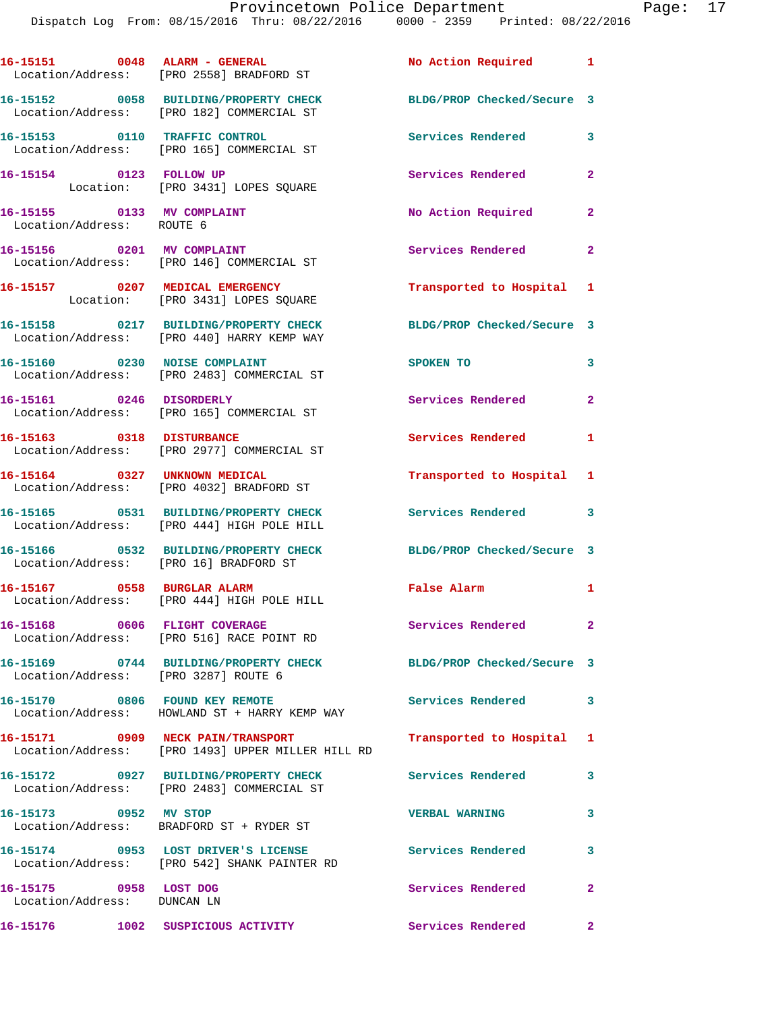**16-15151 0048 ALARM - GENERAL No Action Required 1** 

Location/Address: [PRO 2558] BRADFORD ST

**16-15152 0058 BUILDING/PROPERTY CHECK BLDG/PROP Checked/Secure 3**  Location/Address: [PRO 182] COMMERCIAL ST **16-15153 0110 TRAFFIC CONTROL Services Rendered 3**  Location/Address: [PRO 165] COMMERCIAL ST **16-15154 0123 FOLLOW UP Services Rendered 2**  Location: [PRO 3431] LOPES SQUARE 16-15155 0133 MV COMPLAINT No Action Required 2 Location/Address: ROUTE 6 16-15156 0201 MV COMPLAINT Services Rendered 2 Location/Address: [PRO 146] COMMERCIAL ST **16-15157 0207 MEDICAL EMERGENCY Transported to Hospital 1**  Location: [PRO 3431] LOPES SQUARE **16-15158 0217 BUILDING/PROPERTY CHECK BLDG/PROP Checked/Secure 3**  Location/Address: [PRO 440] HARRY KEMP WAY **16-15160 0230 NOISE COMPLAINT SPOKEN TO 3**  Location/Address: [PRO 2483] COMMERCIAL ST **16-15161 0246 DISORDERLY Services Rendered 2**  Location/Address: [PRO 165] COMMERCIAL ST **16-15163 0318 DISTURBANCE Services Rendered 1**  Location/Address: [PRO 2977] COMMERCIAL ST **16-15164 0327 UNKNOWN MEDICAL Transported to Hospital 1**  Location/Address: [PRO 4032] BRADFORD ST **16-15165 0531 BUILDING/PROPERTY CHECK Services Rendered 3**  Location/Address: [PRO 444] HIGH POLE HILL **16-15166 0532 BUILDING/PROPERTY CHECK BLDG/PROP Checked/Secure 3**  Location/Address: [PRO 16] BRADFORD ST **16-15167 0558 BURGLAR ALARM False Alarm 1**  Location/Address: [PRO 444] HIGH POLE HILL **16-15168 0606 FLIGHT COVERAGE Services Rendered 2**  Location/Address: [PRO 516] RACE POINT RD **16-15169 0744 BUILDING/PROPERTY CHECK BLDG/PROP Checked/Secure 3**  Location/Address: [PRO 3287] ROUTE 6 **16-15170 0806 FOUND KEY REMOTE Services Rendered 3**  Location/Address: HOWLAND ST + HARRY KEMP WAY **16-15171 0909 NECK PAIN/TRANSPORT Transported to Hospital 1**  Location/Address: [PRO 1493] UPPER MILLER HILL RD **16-15172 0927 BUILDING/PROPERTY CHECK Services Rendered 3**  Location/Address: [PRO 2483] COMMERCIAL ST **16-15173 0952 MV STOP VERBAL WARNING 3**  Location/Address: BRADFORD ST + RYDER ST **16-15174 0953 LOST DRIVER'S LICENSE Services Rendered 3**  Location/Address: [PRO 542] SHANK PAINTER RD **16-15175 0958 LOST DOG Services Rendered 2**  Location/Address: DUNCAN LN **16-15176 1002 SUSPICIOUS ACTIVITY Services Rendered 2**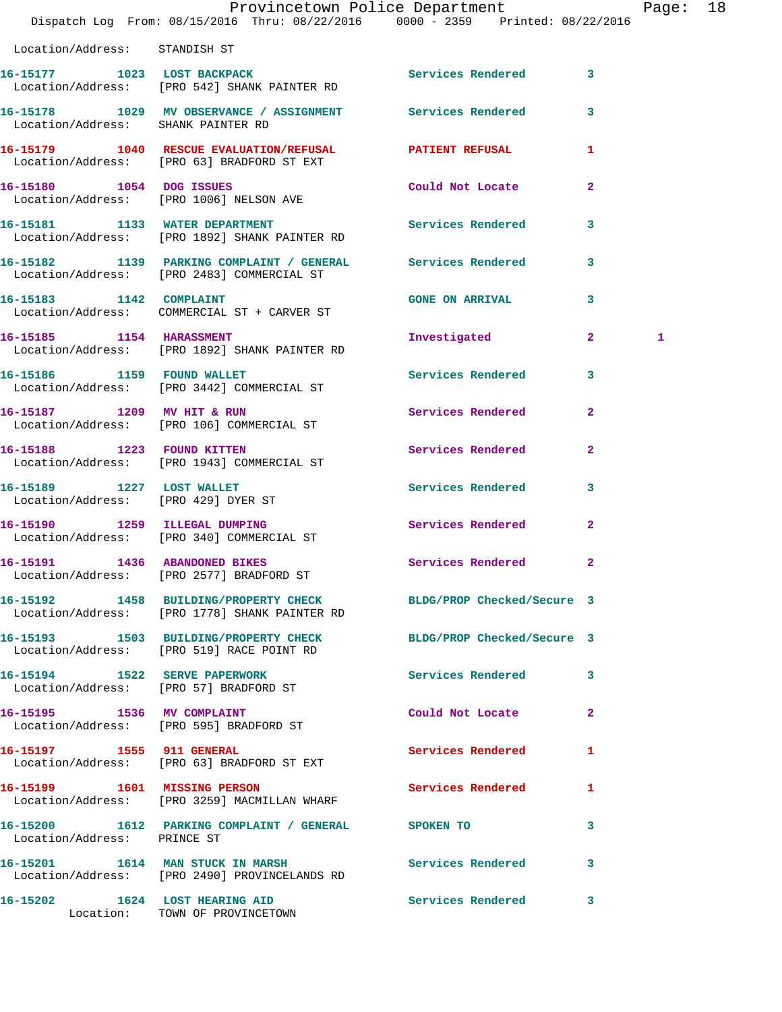|                                     | Dispatch Log From: 08/15/2016 Thru: 08/22/2016 0000 - 2359 Printed: 08/22/2016                                    | Provincetown Police Department |                         | Page: 18 |  |
|-------------------------------------|-------------------------------------------------------------------------------------------------------------------|--------------------------------|-------------------------|----------|--|
| Location/Address: STANDISH ST       |                                                                                                                   |                                |                         |          |  |
|                                     | 16-15177 1023 LOST BACKPACK Services Rendered 3<br>Location/Address: [PRO 542] SHANK PAINTER RD                   |                                |                         |          |  |
| Location/Address: SHANK PAINTER RD  | 16-15178 1029 MV OBSERVANCE / ASSIGNMENT Services Rendered 3                                                      |                                |                         |          |  |
|                                     | 16-15179 1040 RESCUE EVALUATION/REFUSAL PATIENT REFUSAL<br>Location/Address: [PRO 63] BRADFORD ST EXT             |                                | $\mathbf{1}$            |          |  |
|                                     | 16-15180 1054 DOG ISSUES<br>Location/Address: [PRO 1006] NELSON AVE                                               | Could Not Locate               | $\mathbf{2}$            |          |  |
|                                     | 16-15181 1133 WATER DEPARTMENT<br>Location/Address: [PRO 1892] SHANK PAINTER RD                                   | <b>Services Rendered</b>       | $\mathbf{3}$            |          |  |
|                                     | 16-15182 1139 PARKING COMPLAINT / GENERAL Services Rendered<br>Location/Address: [PRO 2483] COMMERCIAL ST         |                                | $\mathbf{3}$            |          |  |
|                                     | 16-15183 1142 COMPLAINT<br>Location/Address: COMMERCIAL ST + CARVER ST                                            | GONE ON ARRIVAL 3              |                         |          |  |
|                                     | 16-15185 1154 HARASSMENT<br>Location/Address: [PRO 1892] SHANK PAINTER RD                                         | Investigated                   | $\overline{\mathbf{2}}$ | 1        |  |
|                                     | 16-15186 1159 FOUND WALLET<br>Location/Address: [PRO 3442] COMMERCIAL ST                                          | Services Rendered 3            |                         |          |  |
|                                     | 16-15187 1209 MV HIT & RUN<br>Location/Address: [PRO 106] COMMERCIAL ST                                           | Services Rendered              | $\mathbf{2}$            |          |  |
| 16-15188 1223 FOUND KITTEN          | Location/Address: [PRO 1943] COMMERCIAL ST                                                                        | Services Rendered              | $\mathbf{2}$            |          |  |
| Location/Address: [PRO 429] DYER ST | 16-15189 1227 LOST WALLET                                                                                         | Services Rendered              | $\mathbf{3}$            |          |  |
|                                     | 16-15190 1259 ILLEGAL DUMPING<br>Location/Address: [PRO 340] COMMERCIAL ST                                        | Services Rendered              | $\mathbf{2}$            |          |  |
| 16-15191 1436 ABANDONED BIKES       | Location/Address: [PRO 2577] BRADFORD ST                                                                          | Services Rendered              | $\mathbf{2}$            |          |  |
|                                     | 16-15192 1458 BUILDING/PROPERTY CHECK BLDG/PROP Checked/Secure 3<br>Location/Address: [PRO 1778] SHANK PAINTER RD |                                |                         |          |  |
|                                     | 16-15193 1503 BUILDING/PROPERTY CHECK BLDG/PROP Checked/Secure 3<br>Location/Address: [PRO 519] RACE POINT RD     |                                |                         |          |  |
|                                     | 16-15194    1522    SERVE PAPERWORK<br>Location/Address: [PRO 57] BRADFORD ST                                     | Services Rendered 3            |                         |          |  |
|                                     | 16-15195 1536 MV COMPLAINT<br>Location/Address: [PRO 595] BRADFORD ST                                             | Could Not Locate 2             |                         |          |  |
|                                     | 16-15197 1555 911 GENERAL<br>Location/Address: [PRO 63] BRADFORD ST EXT                                           | Services Rendered 1            |                         |          |  |
|                                     | 16-15199 1601 MISSING PERSON<br>Location/Address: [PRO 3259] MACMILLAN WHARF                                      | Services Rendered 1            |                         |          |  |
| Location/Address: PRINCE ST         | 16-15200 1612 PARKING COMPLAINT / GENERAL SPOKEN TO                                                               |                                | 3                       |          |  |
|                                     | 16-15201 1614 MAN STUCK IN MARSH<br>Location/Address: [PRO 2490] PROVINCELANDS RD                                 | Services Rendered              | 3                       |          |  |
|                                     | 16-15202 1624 LOST HEARING AID<br>Location: TOWN OF PROVINCETOWN                                                  | Services Rendered 3            |                         |          |  |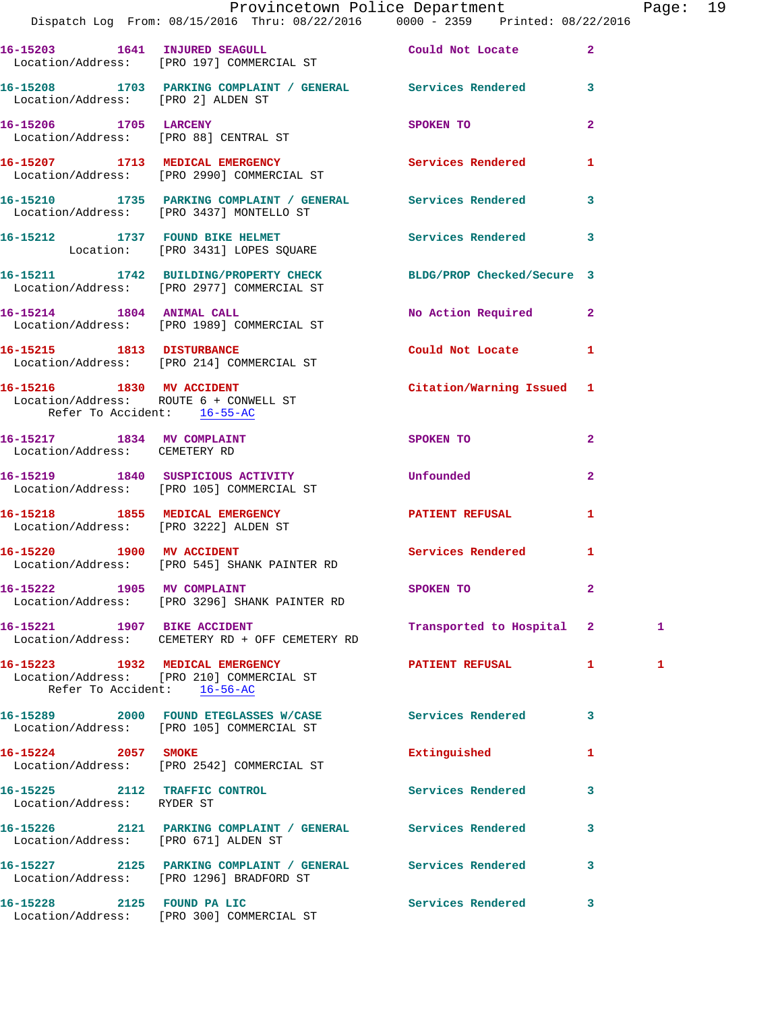|                                                             | Provincetown Police Department<br>Dispatch Log From: 08/15/2016 Thru: 08/22/2016 0000 - 2359 Printed: 08/22/2016 |                                      |              | Page: 19 |  |
|-------------------------------------------------------------|------------------------------------------------------------------------------------------------------------------|--------------------------------------|--------------|----------|--|
|                                                             | 16-15203 1641 INJURED SEAGULL Could Not Locate 2<br>Location/Address: [PRO 197] COMMERCIAL ST                    |                                      |              |          |  |
| Location/Address: [PRO 2] ALDEN ST                          | 16-15208 1703 PARKING COMPLAINT / GENERAL Services Rendered 3                                                    |                                      |              |          |  |
| 16-15206 1705 LARCENY                                       | Location/Address: [PRO 88] CENTRAL ST                                                                            | SPOKEN TO THE STATE OF THE SPOKEN TO | $\mathbf{2}$ |          |  |
|                                                             | 16-15207 1713 MEDICAL EMERGENCY Services Rendered 1<br>Location/Address: [PRO 2990] COMMERCIAL ST                |                                      |              |          |  |
|                                                             | 16-15210 1735 PARKING COMPLAINT / GENERAL Services Rendered 3<br>Location/Address: [PRO 3437] MONTELLO ST        |                                      |              |          |  |
|                                                             | 16-15212 1737 FOUND BIKE HELMET Services Rendered 3<br>Location: [PRO 3431] LOPES SQUARE                         |                                      |              |          |  |
|                                                             | 16-15211 1742 BUILDING/PROPERTY CHECK BLDG/PROP Checked/Secure 3<br>Location/Address: [PRO 2977] COMMERCIAL ST   |                                      |              |          |  |
|                                                             | 16-15214 1804 ANIMAL CALL<br>Location/Address: [PRO 1989] COMMERCIAL ST                                          | No Action Required 2                 |              |          |  |
|                                                             | 16-15215 1813 DISTURBANCE<br>Location/Address: [PRO 214] COMMERCIAL ST                                           | Could Not Locate 1                   |              |          |  |
| Refer To Accident: 16-55-AC                                 | 16-15216 1830 MV ACCIDENT Citation/Warning Issued 1<br>Location/Address: ROUTE 6 + CONWELL ST                    |                                      |              |          |  |
| 16-15217 1834 MV COMPLAINT<br>Location/Address: CEMETERY RD |                                                                                                                  | SPOKEN TO                            | $\mathbf{2}$ |          |  |
|                                                             | 16-15219 1840 SUSPICIOUS ACTIVITY Unfounded<br>Location/Address: [PRO 105] COMMERCIAL ST                         |                                      | $\mathbf{2}$ |          |  |
|                                                             | 16-15218 1855 MEDICAL EMERGENCY<br>Location/Address: [PRO 3222] ALDEN ST                                         | PATIENT REFUSAL                      | 1            |          |  |
|                                                             | 16-15220 1900 MV ACCIDENT<br>Location/Address: [PRO 545] SHANK PAINTER RD                                        | Services Rendered 1                  |              |          |  |
| 16-15222 1905 MV COMPLAINT                                  | Location/Address: [PRO 3296] SHANK PAINTER RD                                                                    | SPOKEN TO                            | $\mathbf{2}$ |          |  |
|                                                             | 16-15221 1907 BIKE ACCIDENT<br>Location/Address: CEMETERY RD + OFF CEMETERY RD                                   | Transported to Hospital 2            |              | 1        |  |
| Refer To Accident: 16-56-AC                                 | 16-15223 1932 MEDICAL EMERGENCY<br>Location/Address: [PRO 210] COMMERCIAL ST                                     | PATIENT REFUSAL 1                    |              | 1        |  |
|                                                             | 16-15289 2000 FOUND ETEGLASSES W/CASE Services Rendered<br>Location/Address: [PRO 105] COMMERCIAL ST             |                                      | -3           |          |  |
| 16-15224 2057 SMOKE                                         | Location/Address: [PRO 2542] COMMERCIAL ST                                                                       | Extinguished                         | 1            |          |  |
| Location/Address: RYDER ST                                  | 16-15225 2112 TRAFFIC CONTROL                                                                                    | <b>Services Rendered</b>             | 3            |          |  |
| Location/Address: [PRO 671] ALDEN ST                        | 16-15226 2121 PARKING COMPLAINT / GENERAL Services Rendered                                                      |                                      | 3            |          |  |
|                                                             | 16-15227 2125 PARKING COMPLAINT / GENERAL Services Rendered<br>Location/Address: [PRO 1296] BRADFORD ST          |                                      | $\mathbf{3}$ |          |  |
| 16-15228 2125 FOUND PA LIC                                  | Location/Address: [PRO 300] COMMERCIAL ST                                                                        | Services Rendered 3                  |              |          |  |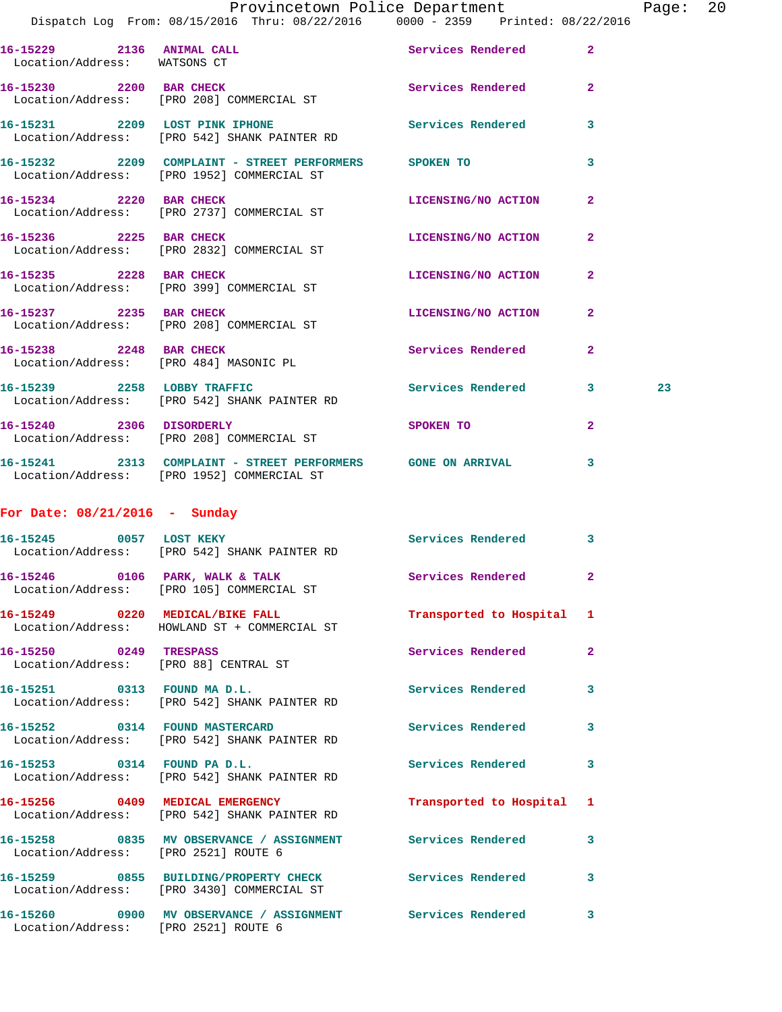|                                                           | Provincetown Police Department<br>Dispatch Log From: 08/15/2016 Thru: 08/22/2016 0000 - 2359 Printed: 08/22/2016 |                           |                | Page |
|-----------------------------------------------------------|------------------------------------------------------------------------------------------------------------------|---------------------------|----------------|------|
|                                                           |                                                                                                                  | Services Rendered 2       |                |      |
| 16-15229 2136 ANIMAL CALL<br>Location/Address: WATSONS CT |                                                                                                                  |                           |                |      |
|                                                           | 16-15230 2200 BAR CHECK<br>Location/Address: [PRO 208] COMMERCIAL ST                                             | Services Rendered         | $\overline{2}$ |      |
|                                                           | 16-15231 2209 LOST PINK IPHONE<br>Location/Address: [PRO 542] SHANK PAINTER RD                                   | Services Rendered 3       |                |      |
|                                                           | 16-15232 2209 COMPLAINT - STREET PERFORMERS SPOKEN TO<br>Location/Address: [PRO 1952] COMMERCIAL ST              |                           | 3              |      |
| 16-15234 2220 BAR CHECK                                   | Location/Address: [PRO 2737] COMMERCIAL ST                                                                       | LICENSING/NO ACTION       | $\mathbf{2}$   |      |
|                                                           | 16-15236 2225 BAR CHECK<br>Location/Address: [PRO 2832] COMMERCIAL ST                                            | LICENSING/NO ACTION       | $\mathbf{2}$   |      |
| 16-15235 2228 BAR CHECK                                   | Location/Address: [PRO 399] COMMERCIAL ST                                                                        | LICENSING/NO ACTION       | $\overline{2}$ |      |
|                                                           | 16-15237 2235 BAR CHECK<br>Location/Address: [PRO 208] COMMERCIAL ST                                             | LICENSING/NO ACTION       | $\mathbf{2}$   |      |
| 16-15238 2248 BAR CHECK                                   | Location/Address: [PRO 484] MASONIC PL                                                                           | Services Rendered         | $\mathbf{2}$   |      |
|                                                           | 16-15239 2258 LOBBY TRAFFIC<br>Location/Address: [PRO 542] SHANK PAINTER RD                                      | Services Rendered 3       |                | 23   |
| 16-15240 2306 DISORDERLY                                  | Location/Address: [PRO 208] COMMERCIAL ST                                                                        | <b>SPOKEN TO</b>          | $\mathbf{2}$   |      |
|                                                           | 16-15241 2313 COMPLAINT - STREET PERFORMERS GONE ON ARRIVAL 3<br>Location/Address: [PRO 1952] COMMERCIAL ST      |                           |                |      |
| For Date: $08/21/2016$ - Sunday                           |                                                                                                                  |                           |                |      |
|                                                           | 16-15245 0057 LOST KEKY<br>Location/Address: [PRO 542] SHANK PAINTER RD                                          | Services Rendered 3       |                |      |
|                                                           | 16-15246 0106 PARK, WALK & TALK Services Rendered<br>Location/Address: [PRO 105] COMMERCIAL ST                   |                           |                |      |
|                                                           | 16-15249 0220 MEDICAL/BIKE FALL<br>Location/Address: HOWLAND ST + COMMERCIAL ST                                  | Transported to Hospital 1 |                |      |
| 16-15250 0249 TRESPASS                                    | Location/Address: [PRO 88] CENTRAL ST                                                                            | Services Rendered         | $\overline{2}$ |      |
|                                                           | 16-15251 0313 FOUND MA D.L.<br>Location/Address: [PRO 542] SHANK PAINTER RD                                      | <b>Services Rendered</b>  | 3              |      |
| 16-15252 0314 FOUND MASTERCARD                            | Location/Address: [PRO 542] SHANK PAINTER RD                                                                     | Services Rendered         | 3              |      |
| 16-15253 0314 FOUND PA D.L.                               | Location/Address: [PRO 542] SHANK PAINTER RD                                                                     | Services Rendered         | 3              |      |
|                                                           | 16-15256 0409 MEDICAL EMERGENCY<br>Location/Address: [PRO 542] SHANK PAINTER RD                                  | Transported to Hospital   | 1              |      |
| Location/Address: [PRO 2521] ROUTE 6                      | 16-15258       0835   MV OBSERVANCE / ASSIGNMENT       Services Rendered                                         |                           | 3              |      |
|                                                           | 16-15259 0855 BUILDING/PROPERTY CHECK<br>Location/Address: [PRO 3430] COMMERCIAL ST                              | Services Rendered         | 3              |      |
| Location/Address: [PRO 2521] ROUTE 6                      | 16-15260 0900 MV OBSERVANCE / ASSIGNMENT Services Rendered                                                       |                           | 3              |      |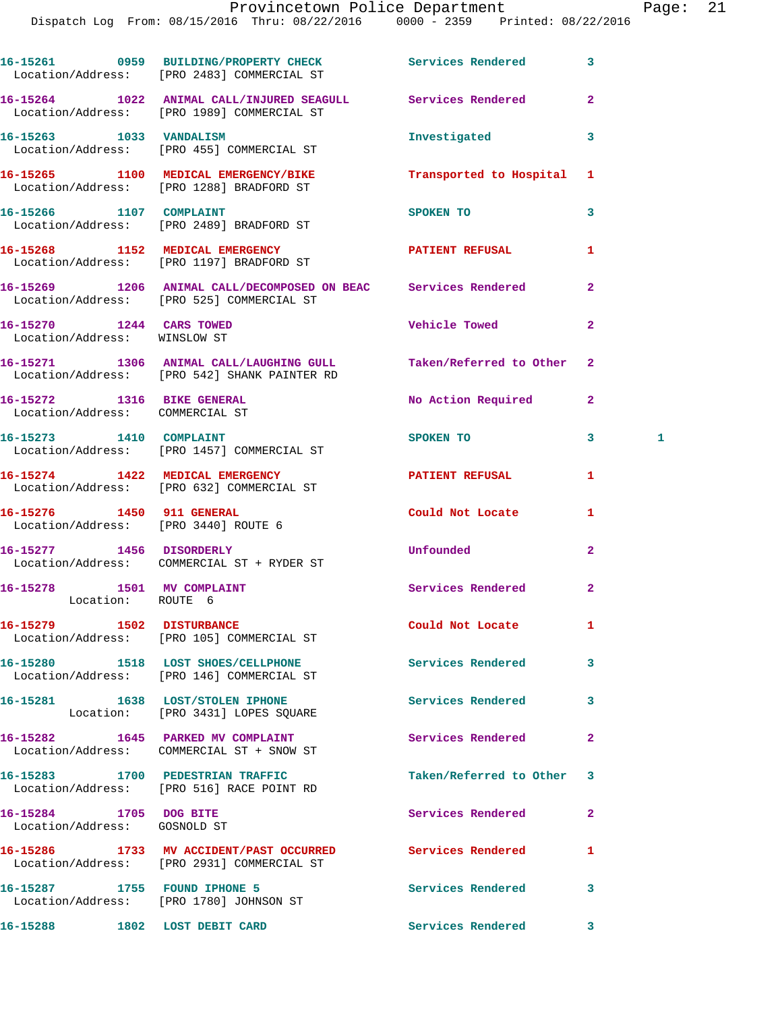|                                                               | 16-15261 0959 BUILDING/PROPERTY CHECK Services Rendered<br>Location/Address: [PRO 2483] COMMERCIAL ST       |                          | 3              |   |
|---------------------------------------------------------------|-------------------------------------------------------------------------------------------------------------|--------------------------|----------------|---|
|                                                               | 16-15264 1022 ANIMAL CALL/INJURED SEAGULL Services Rendered<br>Location/Address: [PRO 1989] COMMERCIAL ST   |                          | $\overline{2}$ |   |
| 16-15263 1033 VANDALISM                                       | Location/Address: [PRO 455] COMMERCIAL ST                                                                   | Investigated             | 3              |   |
|                                                               | 16-15265 1100 MEDICAL EMERGENCY/BIKE<br>Location/Address: [PRO 1288] BRADFORD ST                            | Transported to Hospital  | 1              |   |
| 16-15266 1107 COMPLAINT                                       | Location/Address: [PRO 2489] BRADFORD ST                                                                    | SPOKEN TO                | 3              |   |
|                                                               | 16-15268 1152 MEDICAL EMERGENCY<br>Location/Address: [PRO 1197] BRADFORD ST                                 | PATIENT REFUSAL          | 1              |   |
|                                                               | 16-15269 1206 ANIMAL CALL/DECOMPOSED ON BEAC Services Rendered<br>Location/Address: [PRO 525] COMMERCIAL ST |                          | $\overline{a}$ |   |
| 16-15270 1244 CARS TOWED<br>Location/Address: WINSLOW ST      |                                                                                                             | <b>Vehicle Towed</b>     | $\mathbf{2}$   |   |
|                                                               | 16-15271 1306 ANIMAL CALL/LAUGHING GULL<br>Location/Address: [PRO 542] SHANK PAINTER RD                     | Taken/Referred to Other  | $\mathbf{2}$   |   |
| 16-15272 1316 BIKE GENERAL<br>Location/Address: COMMERCIAL ST |                                                                                                             | No Action Required       | $\mathbf{2}$   |   |
|                                                               | 16-15273 1410 COMPLAINT<br>Location/Address: [PRO 1457] COMMERCIAL ST                                       | SPOKEN TO                | 3              | 1 |
|                                                               | 16-15274 1422 MEDICAL EMERGENCY<br>Location/Address: [PRO 632] COMMERCIAL ST                                | PATIENT REFUSAL          | 1              |   |
| 16-15276 1450 911 GENERAL                                     | Location/Address: [PRO 3440] ROUTE 6                                                                        | Could Not Locate         | 1              |   |
|                                                               | 16-15277 1456 DISORDERLY<br>Location/Address: COMMERCIAL ST + RYDER ST                                      | <b>Unfounded</b>         | $\overline{a}$ |   |
| 16-15278 1501 MV COMPLAINT<br>Location: ROUTE 6               |                                                                                                             | Services Rendered        | $\mathbf{2}$   |   |
|                                                               | 16-15279 1502 DISTURBANCE<br>Location/Address: [PRO 105] COMMERCIAL ST                                      | Could Not Locate         | 1              |   |
|                                                               | 16-15280 1518 LOST SHOES/CELLPHONE<br>Location/Address: [PRO 146] COMMERCIAL ST                             | Services Rendered        | 3              |   |
|                                                               | 16-15281 1638 LOST/STOLEN IPHONE<br>Location: [PRO 3431] LOPES SQUARE                                       | <b>Services Rendered</b> | 3              |   |
|                                                               | 16-15282 1645 PARKED MV COMPLAINT<br>Location/Address: COMMERCIAL ST + SNOW ST                              | Services Rendered        | $\mathbf{2}$   |   |
|                                                               | 16-15283 1700 PEDESTRIAN TRAFFIC<br>Location/Address: [PRO 516] RACE POINT RD                               | Taken/Referred to Other  | 3              |   |
| 16-15284 1705 DOG BITE<br>Location/Address: GOSNOLD ST        |                                                                                                             | Services Rendered        | $\mathbf{2}$   |   |
|                                                               | 16-15286 1733 MV ACCIDENT/PAST OCCURRED<br>Location/Address: [PRO 2931] COMMERCIAL ST                       | <b>Services Rendered</b> | 1              |   |
|                                                               | 16-15287 1755 FOUND IPHONE 5<br>Location/Address: [PRO 1780] JOHNSON ST                                     | Services Rendered        | 3              |   |
| 16-15288 1802 LOST DEBIT CARD                                 |                                                                                                             | <b>Services Rendered</b> | $\mathbf{3}$   |   |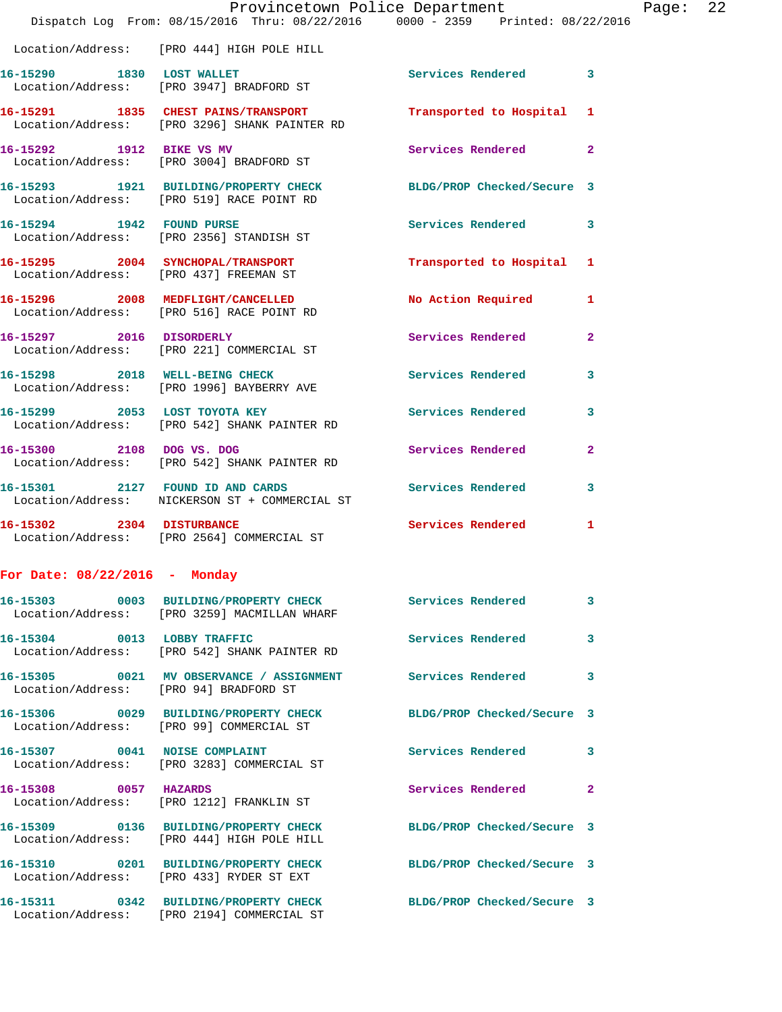|                                        | Provincetown Police Department<br>Dispatch Log From: 08/15/2016 Thru: 08/22/2016 0000 - 2359 Printed: 08/22/2016 |                            |              |
|----------------------------------------|------------------------------------------------------------------------------------------------------------------|----------------------------|--------------|
|                                        | Location/Address: [PRO 444] HIGH POLE HILL                                                                       |                            |              |
|                                        | 16-15290 1830 LOST WALLET<br>Location/Address: [PRO 3947] BRADFORD ST                                            | Services Rendered          | 3            |
|                                        | 16-15291 1835 CHEST PAINS/TRANSPORT<br>Location/Address: [PRO 3296] SHANK PAINTER RD                             | Transported to Hospital    | 1            |
|                                        | 16-15292 1912 BIKE VS MV<br>Location/Address: [PRO 3004] BRADFORD ST                                             | Services Rendered          | $\mathbf{2}$ |
|                                        | 16-15293 1921 BUILDING/PROPERTY CHECK BLDG/PROP Checked/Secure 3<br>Location/Address: [PRO 519] RACE POINT RD    |                            |              |
|                                        | 16-15294 1942 FOUND PURSE<br>Location/Address: [PRO 2356] STANDISH ST                                            | Services Rendered          | 3            |
| Location/Address: [PRO 437] FREEMAN ST | 16-15295 2004 SYNCHOPAL/TRANSPORT                                                                                | Transported to Hospital    | 1            |
|                                        | 16-15296 2008 MEDFLIGHT/CANCELLED<br>Location/Address: [PRO 516] RACE POINT RD                                   | <b>No Action Required</b>  | 1            |
|                                        | 16-15297 2016 DISORDERLY<br>Location/Address: [PRO 221] COMMERCIAL ST                                            | Services Rendered          | $\mathbf{2}$ |
|                                        | 16-15298 2018 WELL-BEING CHECK<br>Location/Address: [PRO 1996] BAYBERRY AVE                                      | <b>Services Rendered</b>   | 3            |
|                                        | 16-15299 2053 LOST TOYOTA KEY<br>Location/Address: [PRO 542] SHANK PAINTER RD                                    | Services Rendered          | 3            |
| 16-15300 2108 DOG VS. DOG              | Location/Address: [PRO 542] SHANK PAINTER RD                                                                     | Services Rendered          | $\mathbf{2}$ |
|                                        | 16-15301 2127 FOUND ID AND CARDS<br>Location/Address: NICKERSON ST + COMMERCIAL ST                               | Services Rendered          | 3            |
| 16-15302 2304 DISTURBANCE              | Location/Address: [PRO 2564] COMMERCIAL ST                                                                       | Services Rendered          | 1            |
| For Date: $08/22/2016$ - Monday        |                                                                                                                  |                            |              |
|                                        | 16-15303 0003 BUILDING/PROPERTY CHECK Services Rendered<br>Location/Address: [PRO 3259] MACMILLAN WHARF          |                            | 3            |
|                                        | 16-15304 0013 LOBBY TRAFFIC<br>Location/Address: [PRO 542] SHANK PAINTER RD                                      | Services Rendered          | 3            |
| Location/Address: [PRO 94] BRADFORD ST | 16-15305 0021 MV OBSERVANCE / ASSIGNMENT Services Rendered                                                       |                            | 3            |
|                                        | 16-15306 0029 BUILDING/PROPERTY CHECK BLDG/PROP Checked/Secure 3<br>Location/Address: [PRO 99] COMMERCIAL ST     |                            |              |
|                                        | 16-15307 0041 NOISE COMPLAINT<br>Location/Address: [PRO 3283] COMMERCIAL ST                                      | <b>Services Rendered</b>   | 3            |
|                                        | 16-15308 0057 HAZARDS<br>Location/Address: [PRO 1212] FRANKLIN ST                                                | Services Rendered          | 2            |
|                                        | 16-15309 0136 BUILDING/PROPERTY CHECK BLDG/PROP Checked/Secure 3<br>Location/Address: [PRO 444] HIGH POLE HILL   |                            |              |
|                                        | 16-15310 0201 BUILDING/PROPERTY CHECK<br>Location/Address: [PRO 433] RYDER ST EXT                                | BLDG/PROP Checked/Secure 3 |              |
|                                        | 16-15311 0342 BUILDING/PROPERTY CHECK BLDG/PROP Checked/Secure 3<br>Location/Address: [PRO 2194] COMMERCIAL ST   |                            |              |

Page: 22<br>16